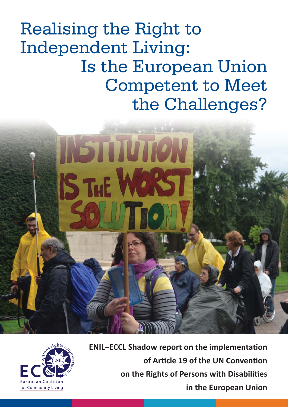Realising the Right to Independent Living: Is the European Union Competent to Meet the Challenges?





**ENIL-ECCL Shadow report on the implementation of Article 19 of the UN Convention on the Rights of Persons with Disabilities in the European Union**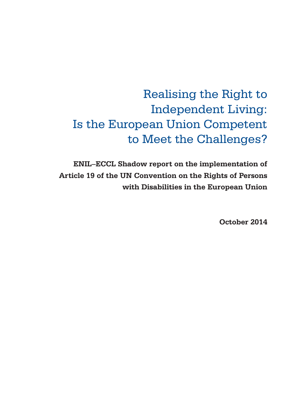# Realising the Right to Independent Living: Is the European Union Competent to Meet the Challenges?

**ENIL–ECCL Shadow report on the implementation of Article 19 of the UN Convention on the Rights of Persons with Disabilities in the European Union**

**October 2014**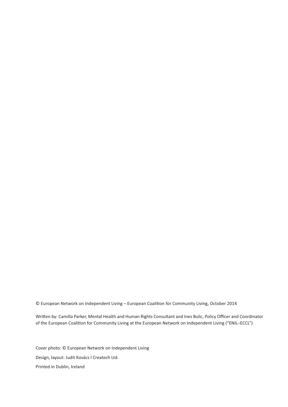© European Network on Independent Living - European Coalition for Community Living, October 2014

Written by: Camilla Parker, Mental Health and Human Rights Consultant and Ines Bulic, Policy Officer and Coordinator of the European Coalition for Community Living at the European Network on Independent Living ("ENIL–ECCL")

Cover photo: © European Network on Independent Living Design, layout: Judit Kovács l Createch Ltd. Printed in Dublin, Ireland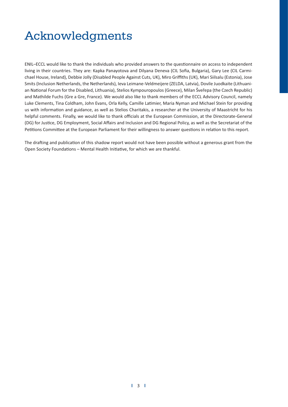# Acknowledgments

ENIL-ECCL would like to thank the individuals who provided answers to the questionnaire on access to independent living in their countries. They are: Kapka Panayotova and Dilyana Deneva (CIL Sofia, Bulgaria), Gary Lee (CIL Carmichael House, Ireland), Debbie Jolly (Disabled People Against Cuts, UK), Miro Griffiths (UK), Mari Siilsalu (Estonia), Jose Smits (Inclusion Netherlands, the Netherlands), Ieva Leimane-Veldmeijere (ZELDA, Latvia), Dovile Juodkaite (Lithuanian National Forum for the Disabled, Lithuania), Stelios Kympouropoulos (Greece), Milan Šveřepa (the Czech Republic) and Mathilde Fuchs (Gre a Gre, France). We would also like to thank members of the ECCL Advisory Council, namely Luke Clements, Tina Coldham, John Evans, Orla Kelly, Camille Latimier, Maria Nyman and Michael Stein for providing us with information and guidance, as well as Stelios Charitakis, a researcher at the University of Maastricht for his helpful comments. Finally, we would like to thank officials at the European Commission, at the Directorate-General (DG) for Justice, DG Employment, Social Affairs and Inclusion and DG Regional Policy, as well as the Secretariat of the Petitions Committee at the European Parliament for their willingness to answer questions in relation to this report.

The drafting and publication of this shadow report would not have been possible without a generous grant from the Open Society Foundations - Mental Health Initiative, for which we are thankful.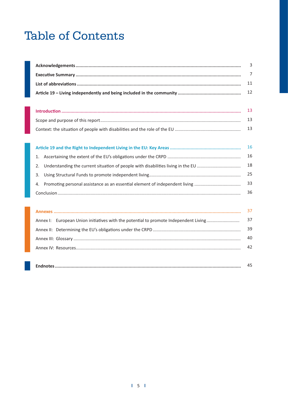# **Table of Contents**

| 3                                                                                    |    |
|--------------------------------------------------------------------------------------|----|
|                                                                                      | 7  |
|                                                                                      | 11 |
|                                                                                      | 12 |
|                                                                                      |    |
|                                                                                      | 13 |
|                                                                                      | 13 |
|                                                                                      | 13 |
|                                                                                      |    |
|                                                                                      | 16 |
| 1.                                                                                   | 16 |
| 2.                                                                                   | 18 |
| 3.                                                                                   | 25 |
| Promoting personal assistance as an essential element of independent living<br>4.    | 33 |
|                                                                                      | 36 |
|                                                                                      |    |
|                                                                                      | 37 |
| Annex I: European Union initiatives with the potential to promote Independent Living | 37 |
|                                                                                      | 39 |
|                                                                                      | 40 |
|                                                                                      | 42 |
|                                                                                      |    |
|                                                                                      | 45 |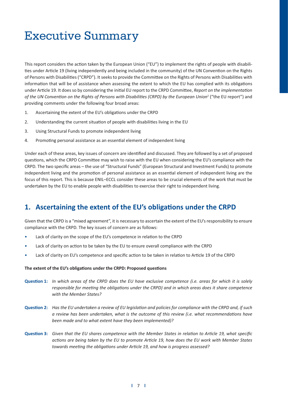# Executive Summary

This report considers the action taken by the European Union ("EU") to implement the rights of people with disabilities under Article 19 (living independently and being included in the community) of the UN Convention on the Rights of Persons with Disabilities ("CRPD"). It seeks to provide the Committee on the Rights of Persons with Disabilities with information that will be of assistance when assessing the extent to which the EU has complied with its obligations under Article 19. It does so by considering the initial EU report to the CRPD Committee, Report on the implementation of the UN Convention on the Rights of Persons with Disabilities (CRPD) by the European Union<sup>1</sup> ("the EU report") and providing comments under the following four broad areas:

- 1. Ascertaining the extent of the EU's obligations under the CRPD
- 2. Understanding the current situation of people with disabilities living in the EU
- 3. Using Structural Funds to promote independent living
- 4. Promoting personal assistance as an essential element of independent living

Under each of these areas, key issues of concern are identified and discussed. They are followed by a set of proposed questions, which the CRPD Committee may wish to raise with the EU when considering the EU's compliance with the CRPD. The two specific areas – the use of "Structural Funds" (European Structural and Investment Funds) to promote independent living and the promotion of personal assistance as an essential element of independent living are the focus of this report. This is because ENIL–ECCL consider these areas to be crucial elements of the work that must be undertaken by the EU to enable people with disabilities to exercise their right to independent living.

## 1. Ascertaining the extent of the EU's obligations under the CRPD

Given that the CRPD is a "mixed agreement", it is necessary to ascertain the extent of the EU's responsibility to ensure compliance with the CRPD. The key issues of concern are as follows:

- Lack of clarity on the scope of the EU's competence in relation to the CRPD
- Lack of clarity on action to be taken by the EU to ensure overall compliance with the CRPD
- Lack of clarity on EU's competence and specific action to be taken in relation to Article 19 of the CRPD

#### The extent of the EU's obligations under the CRPD: Proposed questions

- **Question 1:** In which areas of the CRPD does the EU have exclusive competence (i.e. areas for which it is solely responsible for meeting the obligations under the CRPD) and in which areas does it share competence *with the Member States?*
- **Question 2:** Has the EU undertaken a review of EU legislation and policies for compliance with the CRPD and, if such a review has been undertaken, what is the outcome of this review (i.e. what recommendations have *been made and to what extent have they been implemented)?*
- **Question 3:** Given that the EU shares competence with the Member States in relation to Article 19, what specific actions are being taken by the EU to promote Article 19, how does the EU work with Member States towards meeting the obligations under Article 19, and how is progress assessed?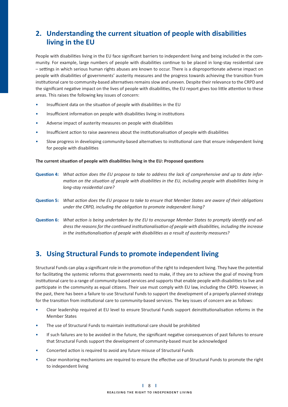# **2.** Understanding the current situation of people with disabilities  **living in the EU**

People with disabilities living in the EU face significant barriers to independent living and being included in the community. For example, large numbers of people with disabilities continue to be placed in long-stay residential care – settings in which serious human rights abuses are known to occur. There is a disproportionate adverse impact on people with disabilities of governments' austerity measures and the progress towards achieving the transition from institutional care to community-based alternatives remains slow and uneven. Despite their relevance to the CRPD and the significant negative impact on the lives of people with disabilities, the EU report gives too little attention to these areas. This raises the following key issues of concern:

- Insufficient data on the situation of people with disabilities in the EU
- Insufficient information on people with disabilities living in institutions
- Adverse impact of austerity measures on people with disabilities
- Insufficient action to raise awareness about the institutionalisation of people with disabilities
- Slow progress in developing community-based alternatives to institutional care that ensure independent living for people with disabilities

#### The current situation of people with disabilities living in the EU: Proposed questions

- **Question 4:** What action does the EU propose to take to address the lack of comprehensive and up to date infor*mation on the situation of people with disabilities in the EU, including people with disabilities living in long-stay residential care?*
- **Question 5:** What action does the EU propose to take to ensure that Member States are aware of their obligations *under the CRPD, including the obligation to promote independent living?*
- **Question 6:** What action is being undertaken by the EU to encourage Member States to promptly identify and address the reasons for the continued institutionalisation of people with disabilities, including the increase in the institutionalisation of people with disabilities as a result of austerity measures?

## **3. Using Structural Funds to promote independent living**

Structural Funds can play a significant role in the promotion of the right to independent living. They have the potential for facilitating the systemic reforms that governments need to make, if they are to achieve the goal of moving from institutional care to a range of community-based services and supports that enable people with disabilities to live and participate in the community as equal citizens. Their use must comply with EU law, including the CRPD. However, in the past, there has been a failure to use Structural Funds to support the development of a properly planned strategy for the transition from institutional care to community-based services. The key issues of concern are as follows:

- Clear leadership required at EU level to ensure Structural Funds support deinstitutionalisation reforms in the Member States
- The use of Structural Funds to maintain institutional care should be prohibited
- If such failures are to be avoided in the future, the significant negative consequences of past failures to ensure that Structural Funds support the development of community-based must be acknowledged
- Concerted action is required to avoid any future misuse of Structural Funds
- Clear monitoring mechanisms are required to ensure the effective use of Structural Funds to promote the right to independent living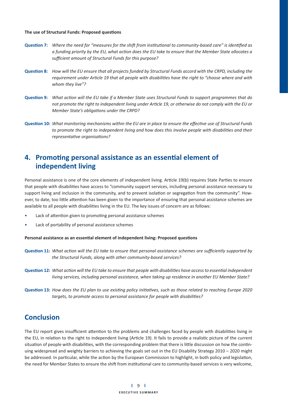#### **The use of Structural Funds: Proposed questions**

- **Question 7:** Where the need for "measures for the shift from institutional to community-based care" is identified as a funding priority by the EU, what action does the EU take to ensure that the Member State allocates a sufficient amount of Structural Funds for this purpose?
- Question 8: How will the EU ensure that all projects funded by Structural Funds accord with the CRPD, including the requirement under Article 19 that all people with disabilities have the right to "choose where and with *whom they live"?*
- Question 9: What action will the EU take if a Member State uses Structural Funds to support programmes that do not promote the right to independent living under Article 19, or otherwise do not comply with the EU or **Member State's obligations under the CRPD?**
- Question 10: What monitoring mechanisms within the EU are in place to ensure the effective use of Structural Funds to promote the right to independent living and how does this involve people with disabilities and their  $representative\ organizations$ ?

## 4. Promoting personal assistance as an essential element of  **independent living**

Personal assistance is one of the core elements of independent living. Article 19(b) requires State Parties to ensure that people with disabilities have access to "community support services, including personal assistance necessary to support living and inclusion in the community, and to prevent isolation or segregation from the community". However, to date, too little attention has been given to the importance of ensuring that personal assistance schemes are available to all people with disabilities living in the EU. The key issues of concern are as follows:

- Lack of attention given to promoting personal assistance schemes
- Lack of portability of personal assistance schemes

#### Personal assistance as an essential element of independent living: Proposed questions

- Question 11: What action will the EU take to ensure that personal assistance schemes are sufficiently supported by *the Structural Funds, along with other community-based services?*
- **Question 12:** What action will the EU take to ensure that people with disabilities have access to essential independent *living services, including personal assistance, when taking up residence in another EU Member State?*
- **Question 13:** How does the EU plan to use existing policy initiatives, such as those related to reaching Europe 2020 targets, to promote access to personal assistance for people with disabilities?

## **Conclusion**

The EU report gives insufficient attention to the problems and challenges faced by people with disabilities living in the EU, in relation to the right to independent living (Article 19). It fails to provide a realistic picture of the current situation of people with disabilities, with the corresponding problem that there is little discussion on how the continuing widespread and weighty barriers to achieving the goals set out in the EU Disability Strategy 2010 – 2020 might be addressed. In particular, while the action by the European Commission to highlight, in both policy and legislation, the need for Member States to ensure the shift from institutional care to community-based services is very welcome,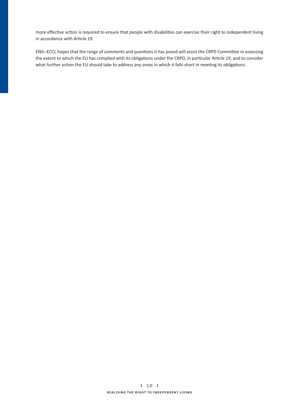more effective action is required to ensure that people with disabilities can exercise their right to independent living in accordance with Article 19.

ENIL-ECCL hopes that the range of comments and questions it has posed will assist the CRPD Committee in assessing the extent to which the EU has complied with its obligations under the CRPD, in particular Article 19, and to consider what further action the EU should take to address any areas in which it falls short in meeting its obligations.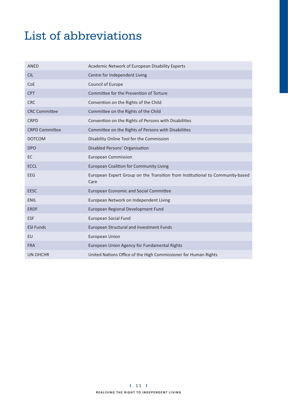# List of abbreviations

| ANED                  | Academic Network of European Disability Experts                                       |
|-----------------------|---------------------------------------------------------------------------------------|
| <b>CIL</b>            | Centre for Independent Living                                                         |
| CoE                   | Council of Europe                                                                     |
| <b>CPT</b>            | Committee for the Prevention of Torture                                               |
| <b>CRC</b>            | Convention on the Rights of the Child                                                 |
| <b>CRC Committee</b>  | Committee on the Rights of the Child                                                  |
| <b>CRPD</b>           | Convention on the Rights of Persons with Disabilities                                 |
| <b>CRPD Committee</b> | Committee on the Rights of Persons with Disabilities                                  |
| <b>DOTCOM</b>         | Disability Online Tool for the Commission                                             |
| <b>DPO</b>            | Disabled Persons' Organisation                                                        |
| <b>EC</b>             | <b>European Commission</b>                                                            |
| <b>ECCL</b>           | <b>European Coalition for Community Living</b>                                        |
| <b>EEG</b>            | European Expert Group on the Transition from Institutional to Community-based<br>Care |
| <b>EESC</b>           | <b>European Economic and Social Committee</b>                                         |
| <b>ENIL</b>           | European Network on Independent Living                                                |
| <b>ERDF</b>           | European Regional Development Fund                                                    |
| <b>ESF</b>            | <b>European Social Fund</b>                                                           |
| <b>ESI Funds</b>      | <b>European Structural and Investment Funds</b>                                       |
| EU                    | <b>European Union</b>                                                                 |
| <b>FRA</b>            | European Union Agency for Fundamental Rights                                          |
| <b>UN OHCHR</b>       | United Nations Office of the High Commissioner for Human Rights                       |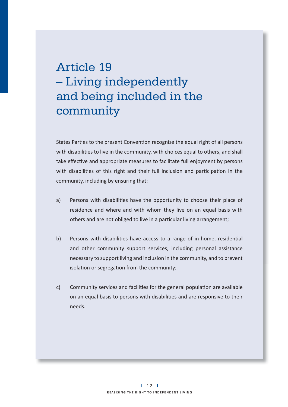# Article 19 – Living independently and being included in the community

States Parties to the present Convention recognize the equal right of all persons with disabilities to live in the community, with choices equal to others, and shall take effective and appropriate measures to facilitate full enjoyment by persons with disabilities of this right and their full inclusion and participation in the community, including by ensuring that:

- a) Persons with disabilities have the opportunity to choose their place of residence and where and with whom they live on an equal basis with others and are not obliged to live in a particular living arrangement;
- b) Persons with disabilities have access to a range of in-home, residential and other community support services, including personal assistance necessary to support living and inclusion in the community, and to prevent isolation or segregation from the community;
- c) Community services and facilities for the general population are available on an equal basis to persons with disabilities and are responsive to their needs.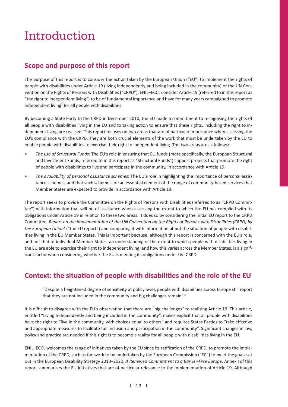# Introduction

## **Scope and purpose of this report**

The purpose of this report is to consider the action taken by the European Union ("EU") to implement the rights of people with disabilities under Article 19 (living independently and being included in the community) of the UN Convention on the Rights of Persons with Disabilities ("CRPD"). ENIL–ECCL consider Article 19 (referred to in this report as "the right to independent living") to be of fundamental importance and have for many years campaigned to promote independent living<sup>2</sup> for all people with disabilities.

By becoming a State Party to the CRPD in December 2010, the EU made a commitment to recognising the rights of all people with disabilities living in the EU and to taking action to ensure that these rights, including the right to independent living are realised. This report focuses on two areas that are of particular importance when assessing the EU's compliance with the CRPD. They are both crucial elements of the work that must be undertaken by the EU to enable people with disabilities to exercise their right to independent living. The two areas are as follows:

- The use of Structural Funds: The EU's role in ensuring that EU funds (more specifically, the European Structural and Investment Funds, referred to in this report as "Structural Funds") support projects that promote the right of people with disabilities to live and participate in the community, in accordance with Article 19.
- The availability of personal assistance schemes: The EU's role in highlighting the importance of personal assistance schemes, and that such schemes are an essential element of the range of community-based services that Member States are expected to provide in accordance with Article 19.

The report seeks to provide the Committee on the Rights of Persons with Disabilities (referred to as "CRPD Committee") with information that will be of assistance when assessing the extent to which the EU has complied with its obligations under Article 19 in relation to these two areas. It does so by considering the initial EU report to the CRPD Committee, Report on the implementation of the UN Convention on the Rights of Persons with Disabilities (CRPD) by the European Union<sup>3</sup> ("the EU report") and comparing it with information about the situation of people with disabilities living in the EU Member States. This is important because, although this report is concerned with the EU's role, and not that of individual Member States, an understanding of the extent to which people with disabilities living in the EU are able to exercise their right to independent living, and how this varies across the Member States, is a significant factor when considering whether the EU is meeting its obligations under the CRPD.

# **Context: the situation of people with disabilities and the role of the EU**

"Despite a heightened degree of sensitivity at policy level, people with disabilities across Europe still report that they are not included in the community and big challenges remain".<sup>4</sup>

It is difficult to disagree with the EU's observation that there are "big challenges" to realising Article 19. This article, entitled "Living Independently and being included in the community", makes explicit that all people with disabilities have the right to "live in the community, with choices equal to others" and requires States Parties to "take effective and appropriate measures to facilitate full inclusion and participation in the community". Significant changes in law, policy and practice are needed if this right is to become a reality for all people with disabilities living in the EU.

ENIL-ECCL welcomes the range of initiatives taken by the EU since its ratification of the CRPD, to promote the implementation of the CRPD, such as the work to be undertaken by the European Commission ("EC") to meet the goals set out in the European Disability Strategy 2010–2020, *A Renewed Commitment to a Barrier-Free Europe*. Annex I of this report summarises the EU initiatives that are of particular relevance to the implementation of Article 19. Although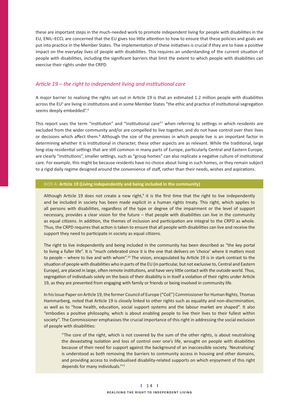these are important steps in the much-needed work to promote independent living for people with disabilities in the EU, ENIL-ECCL are concerned that the EU gives too little attention to how to ensure that these policies and goals are put into practice in the Member States. The implementation of these initiatives is crucial if they are to have a positive impact on the everyday lives of people with disabilities. This requires an understanding of the current situation of people with disabilities, including the significant barriers that limit the extent to which people with disabilities can exercise their rights under the CRPD.

## Article 19 – the right to independent living and institutional care

A major barrier to realising the rights set out in Article 19 is that an estimated 1.2 million people with disabilities across the EU<sup>5</sup> are living in institutions and in some Member States "the ethic and practice of institutional segregation seems deeply embedded".<sup>6</sup>

This report uses the term "institution" and "institutional care"7 when referring to settings in which residents are excluded from the wider community and/or are compelled to live together, and do not have control over their lives or decisions which affect them.<sup>8</sup> Although the size of the premises in which people live is an important factor in determining whether it is institutional in character, these other aspects are as relevant. While the traditional, large long-stay residential settings that are still common in many parts of Europe, particularly Central and Eastern Europe, are clearly "institutions", smaller settings, such as "group homes" can also replicate a negative culture of institutional care. For example, this might be because residents have no choice about living in such homes, or they remain subject to a rigid daily regime designed around the convenience of staff, rather than their needs, wishes and aspirations.

### BOX A: Article 19 (Living independently and being included in the community)

Although Article 19 does not create a new right,<sup>9</sup> it is the first time that the right to live independently and be included in society has been made explicit in a human rights treaty. This right, which applies to all persons with disabilities, regardless of the type or degree of the impairment or the level of support necessary, provides a clear vision for the future - that people with disabilities can live in the community as equal citizens. In addition, the themes of inclusion and participation are integral to the CRPD as whole. Thus, the CRPD requires that action is taken to ensure that all people with disabilities can live and receive the support they need to participate in society as equal citizens.

The right to live independently and being included in the community has been described as "the key portal to living a fuller life". It is "much celebrated since it is the one that delivers on 'choice' where it matters most to people – where to live and with whom".<sup>10</sup> The vision, encapsulated by Article 19 is in stark contrast to the situation of people with disabilities who in parts of the EU (in particular, but not exclusive to, Central and Eastern Europe), are placed in large, often remote institutions, and have very little contact with the outside world. Thus, segregation of individuals solely on the basis of their disability is in itself a violation of their rights under Article 19, as they are prevented from engaging with family or friends or being involved in community life.

In his Issue Paper on Article 19, the former Council of Europe ("CoE") Commissioner for Human Rights, Thomas Hammarberg, noted that Article 19 is closely linked to other rights such as equality and non-discrimination, as well as to "how health, education, social support systems and the labour market are shaped". It also "embodies a positive philosophy, which is about enabling people to live their lives to their fullest within society". The Commissioner emphasises the crucial importance of this right in addressing the social exclusion of people with disabilities:

"The core of the right, which is not covered by the sum of the other rights, is about neutralising the devastating isolation and loss of control over one's life, wrought on people with disabilities because of their need for support against the background of an inaccessible society. 'Neutralising' is understood as both removing the barriers to community access in housing and other domains, and providing access to individualised disability-related supports on which enjoyment of this right depends for many individuals."11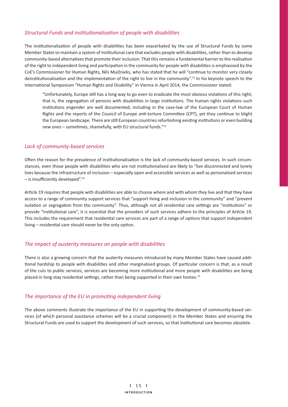## **Structural Funds and institutionalisation of people with disabilities**

The institutionalisation of people with disabilities has been exacerbated by the use of Structural Funds by some Member States to maintain a system of institutional care that excludes people with disabilities, rather than to develop community-based alternatives that promote their inclusion. That this remains a fundamental barrier to the realisation of the right to independent living and participation in the community for people with disabilities is emphasised by the CoE's Commissioner for Human Rights, Nils Muižnieks, who has stated that he will "continue to monitor very closely deinstitutionalisation and the implementation of the right to live in the community".<sup>12</sup> In his keynote speech to the International Symposium "Human Rights and Disability" in Vienna in April 2014, the Commissioner stated:

"Unfortunately, Europe still has a long way to go even to eradicate the most obvious violations of this right; that is, the segregation of persons with disabilities in large institutions. The human rights violations such institutions engender are well documented, including in the case-law of the European Court of Human Rights and the reports of the Council of Europe anti-torture Committee (CPT), yet they continue to blight the European landscape. There are still European countries refurbishing existing institutions or even building new ones - sometimes, shamefully, with EU structural funds."<sup>13</sup>

### *Lack of community-based services*

Often the reason for the prevalence of institutionalisation is the lack of community-based services. In such circumstances, even those people with disabilities who are not institutionalised are likely to "live disconnected and lonely lives because the infrastructure of inclusion – especially open and accessible services as well as personalised services  $-$  is insufficiently developed".<sup>14</sup>

Article 19 requires that people with disabilities are able to choose where and with whom they live and that they have access to a range of community support services that "support living and inclusion in the community" and "prevent isolation or segregation from the community". Thus, although not all residential care settings are "institutions" or provide "institutional care", it is essential that the providers of such services adhere to the principles of Article 19. This includes the requirement that residential care services are part of a range of options that support independent living - residential care should never be the only option.

### **The impact of austerity measures on people with disabilities**

There is also a growing concern that the austerity measures introduced by many Member States have caused addi tional hardship to people with disabilities and other marginalised groups. Of particular concern is that, as a result of the cuts to public services, services are becoming more institutional and more people with disabilities are being placed in long-stay residential settings, rather than being supported in their own homes.<sup>15</sup>

## **The importance of the EU in promoting independent living**

The above comments illustrate the importance of the EU in supporting the development of community-based services (of which personal assistance schemes will be a crucial component) in the Member States and ensuring the Structural Funds are used to support the development of such services, so that institutional care becomes obsolete.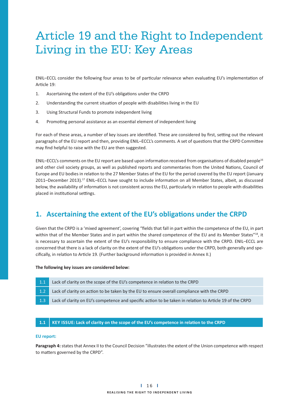# Article 19 and the Right to Independent Living in the EU: Key Areas

ENIL-ECCL consider the following four areas to be of particular relevance when evaluating EU's implementation of Article 19:

- 1. Ascertaining the extent of the EU's obligations under the CRPD
- 2. Understanding the current situation of people with disabilities living in the EU
- 3. Using Structural Funds to promote independent living
- 4. Promoting personal assistance as an essential element of independent living

For each of these areas, a number of key issues are identified. These are considered by first, setting out the relevant paragraphs of the EU report and then, providing ENIL-ECCL's comments. A set of questions that the CRPD Committee may find helpful to raise with the EU are then suggested.

ENIL–ECCL's comments on the EU report are based upon information received from organisations of disabled people<sup>16</sup> and other civil society groups, as well as published reports and commentaries from the United Nations, Council of Europe and EU bodies in relation to the 27 Member States of the EU for the period covered by the EU report (January 2011–December 2013).<sup>17</sup> ENIL–ECCL have sought to include information on all Member States, albeit, as discussed below, the availability of information is not consistent across the EU, particularly in relation to people with disabilities placed in institutional settings.

# 1. Ascertaining the extent of the EU's obligations under the CRPD

Given that the CRPD is a 'mixed agreement', covering "fields that fall in part within the competence of the EU, in part within that of the Member States and in part within the shared competence of the EU and its Member States"<sup>18</sup>, it is necessary to ascertain the extent of the EU's responsibility to ensure compliance with the CRPD. ENIL–ECCL are concerned that there is a lack of clarity on the extent of the EU's obligations under the CRPD, both generally and specifically, in relation to Article 19. (Further background information is provided in Annex II.)

**The following key issues are considered below:** 

- 1.1 Lack of clarity on the scope of the EU's competence in relation to the CRPD
- 1.2 Lack of clarity on action to be taken by the EU to ensure overall compliance with the CRPD
- 1.3 Lack of clarity on EU's competence and specific action to be taken in relation to Article 19 of the CRPD

### **1.1** KEY ISSUE: Lack of clarity on the scope of the EU's competence in relation to the CRPD

## **EU report:**

**Paragraph 4:** states that Annex II to the Council Decision "illustrates the extent of the Union competence with respect to matters governed by the CRPD".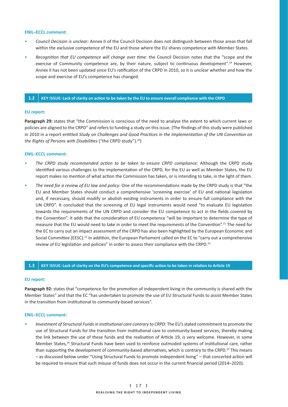#### **ENIL–ECCL comment:**

- Council Decision is unclear: Annex II of the Council Decision does not distinguish between those areas that fall within the exclusive competence of the EU and those where the EU shares competence with Member States.
- Recognition that EU competence will change over time: the Council Decision notes that the "scope and the exercise of Community competence are, by their nature, subject to continuous development".<sup>19</sup> However, Annex II has not been updated since EU's ratification of the CRPD in 2010, so it is unclear whether and how the scope and exercise of EU's competence has changed.

#### 1.2 KEY ISSUE: Lack of clarity on action to be taken by the EU to ensure overall compliance with the CRPD

#### **EU report:**

**Paragraph 29:** states that "the Commission is conscious of the need to analyse the extent to which current laws or policies are aligned to the CRPD" and refers to funding a study on this issue. (The findings of this study were published in 2010 in a report entitled Study on Challenges and Good Practices in the Implementation of the UN Convention on *the Rights of Persons with Disabilities* ("the CRPD study").<sup>20</sup>)

#### **ENIL–ECCL comment:**

- The CRPD study recommended action to be taken to ensure CRPD compliance: Although the CRPD study identified various challenges to the implementation of the CRPD, for the EU as well as Member States, the EU report makes no mention of what action the Commission has taken, or is intending to take, in the light of them.
- The need for a review of EU law and policy: One of the recommendations made by the CRPD study is that "the EU and Member States should conduct a comprehensive 'screening exercise' of EU and national legislation and, if necessary, should modify or abolish existing instruments in order to ensure full compliance with the UN CRPD". It concluded that the screening of EU legal instruments would need "to evaluate EU legislation towards the requirements of the UN CRPD and consider the EU competence to act in the fields covered by the Convention". It adds that the consideration of EU competence "will be important to determine the type of measure that the EU would need to take in order to meet the requirements of the Convention".<sup>21</sup> The need for the EC to carry out an impact assessment of the CRPD has also been highlighted by the European Economic and Social Committee (EESC).<sup>22</sup> In addition, the European Parliament called on the EC to "carry out a comprehensive review of EU legislation and policies" in order to assess their compliance with the CRPD.<sup>23</sup>

#### $1.3$  KEY ISSUE: Lack of clarity on the EU's competence and specific action to be taken in relation to Article 19

#### **EU report:**

Paragraph 92: states that "competence for the promotion of independent living in the community is shared with the Member States" and that the EC "has undertaken to promote the use of EU Structural Funds to assist Member States in the transition from institutional to community-based services".

#### **ENIL–ECCL comment:**

**•** *Investment of Structural Funds in institutional care contrary to CRPD: The EU's stated commitment to promote the* use of Structural Funds for the transition from institutional care to community-based services, thereby making the link between the use of these funds and the realisation of Article 19, is very welcome. However, in some Member States,<sup>24</sup> Structural Funds have been used to reinforce outmoded systems of institutional care, rather than supporting the development of community-based alternatives, which is contrary to the CRPD.<sup>25</sup> This means – as discussed below under "Using Structural Funds to promote independent living" – that concerted action will be required to ensure that such misuse of funds does not occur in the current financial period (2014–2020).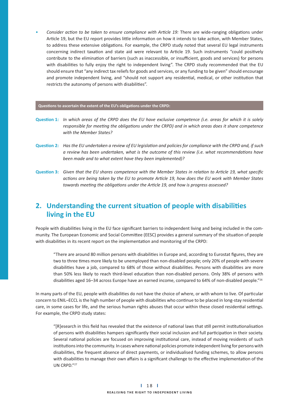• Consider action to be taken to ensure compliance with Article 19: There are wide-ranging obligations under Article 19, but the EU report provides little information on how it intends to take action, with Member States, to address these extensive obligations. For example, the CRPD study noted that several EU legal instruments concerning indirect taxation and state aid were relevant to Article 19. Such instruments "could positively contribute to the elimination of barriers (such as inaccessible, or insufficient, goods and services) for persons with disabilities to fully enjoy the right to independent living". The CRPD study recommended that the EU should ensure that "any indirect tax reliefs for goods and services, or any funding to be given" should encourage and promote independent living, and "should not support any residential, medical, or other institution that restricts the autonomy of persons with disabilities".

#### Questions to ascertain the extent of the EU's obligations under the CRPD:

- **Question 1:** In which areas of the CRPD does the EU have exclusive competence (i.e. areas for which it is solely responsible for meeting the obligations under the CRPD) and in which areas does it share competence *with the Member States?*
- **Question 2:** Has the EU undertaken a review of EU legislation and policies for compliance with the CRPD and, if such a review has been undertaken, what is the outcome of this review (i.e. what recommendations have *been made and to what extent have they been implemented)?*
- **Question 3:** Given that the EU shares competence with the Member States in relation to Article 19, what specific actions are being taken by the EU to promote Article 19, how does the EU work with Member States towards meeting the obligations under the Article 19, and how is progress assessed?

## **2.** Understanding the current situation of people with disabilities  **living in the EU**

People with disabilities living in the EU face significant barriers to independent living and being included in the community. The European Economic and Social Committee (EESC) provides a general summary of the situation of people with disabilities in its recent report on the implementation and monitoring of the CRPD:

"There are around 80 million persons with disabilities in Europe and, according to Eurostat figures, they are two to three times more likely to be unemployed than non-disabled people; only 20% of people with severe disabilities have a job, compared to 68% of those without disabilities. Persons with disabilities are more than 50% less likely to reach third-level education than non-disabled persons. Only 38% of persons with disabilities aged 16–34 across Europe have an earned income, compared to 64% of non-disabled people."<sup>26</sup>

In many parts of the EU, people with disabilities do not have the choice of where, or with whom to live. Of particular concern to ENIL-ECCL is the high number of people with disabilities who continue to be placed in long-stay residential care, in some cases for life, and the serious human rights abuses that occur within these closed residential settings. For example, the CRPD study states:

"[R]esearch in this field has revealed that the existence of national laws that still permit institutionalisation of persons with disabilities hampers significantly their social inclusion and full participation in their society. Several national policies are focused on improving institutional care, instead of moving residents of such institutions into the community. In cases where national policies promote independent living for persons with disabilities, the frequent absence of direct payments, or individualised funding schemes, to allow persons with disabilities to manage their own affairs is a significant challenge to the effective implementation of the UN CRPD."27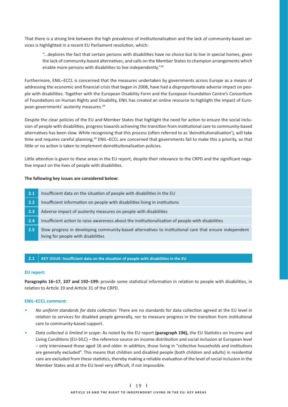That there is a strong link between the high prevalence of institutionalisation and the lack of community-based services is highlighted in a recent EU Parliament resolution, which:

"...deplores the fact that certain persons with disabilities have no choice but to live in special homes, given the lack of community-based alternatives, and calls on the Member States to champion arrangements which enable more persons with disabilities to live independently."<sup>28</sup>

Furthermore, ENIL–ECCL is concerned that the measures undertaken by governments across Europe as a means of addressing the economic and financial crisis that began in 2008, have had a disproportionate adverse impact on people with disabilities. Together with the European Disability Form and the European Foundation Centre's Consortium of Foundations on Human Rights and Disability, ENIL has created an online resource to highlight the impact of European governments' austerity measures.29

Despite the clear policies of the EU and Member States that highlight the need for action to ensure the social inclusion of people with disabilities, progress towards achieving the transition from institutional care to community-based alternatives has been slow. While recognising that this process (often referred to as 'deinstitutionalisation'), will take time and requires careful planning,<sup>30</sup> ENIL–ECCL are concerned that governments fail to make this a priority, so that little or no action is taken to implement deinstitutionalisation policies.

Little attention is given to these areas in the EU report, despite their relevance to the CRPD and the significant negative impact on the lives of people with disabilities.

#### **The following key issues are considered below:**

| 2.1 Insufficient data on the situation of people with disabilities in the EU    |
|---------------------------------------------------------------------------------|
| 2.2 Insufficient information on people with disabilities living in institutions |

- 2.3 Adverse impact of austerity measures on people with disabilities
- **2.4** Insufficient action to raise awareness about the institutionalisation of people with disabilities
- 2.5 Slow progress in developing community-based alternatives to institutional care that ensure independent living for people with disabilities

#### **2.1** | KEY ISSUE: Insufficient data on the situation of people with disabilities in the EU

#### **EU report:**

Paragraphs 16-17, 107 and 192-199: provide some statistical information in relation to people with disabilities, in relation to Article 19 and Article 31 of the CRPD.

- No uniform standards for data collection: There are no standards for data collection agreed at the EU level in relation to services for disabled people generally, nor to measure progress in the transition from institutional care to community-based support.
- Data collected is limited in scope: As noted by the EU report (paragraph 196), the EU Statistics on Income and Living Conditions (EU-SILC) – the reference source on income distribution and social inclusion at European level - only interviewed those aged 16 and older. In addition, those living in "collective households and institutions are generally excluded". This means that children and disabled people (both children and adults) in residential care are excluded from these statistics, thereby making a reliable evaluation of the level of social inclusion in the Member States and at the EU level very difficult, if not impossible.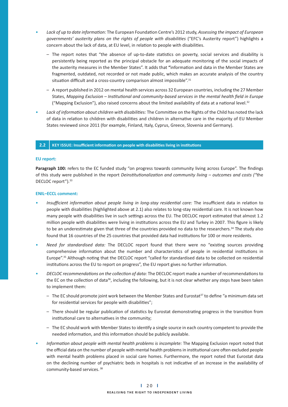- Lack of up to date information: The European Foundation Centre's 2012 study, *Assessing the impact of European* governments' austerity plans on the rights of people with disabilities ("EFC's Austerity report") highlights a concern about the lack of data, at EU level, in relation to people with disabilities.
- The report notes that "the absence of up-to-date statistics on poverty, social services and disability is persistently being reported as the principal obstacle for an adequate monitoring of the social impacts of the austerity measures in the Member States". It adds that "information and data in the Member States are fragmented, outdated, not recorded or not made public, which makes an accurate analysis of the country situation difficult and a cross-country comparison almost impossible".<sup>31</sup>
	- A report published in 2012 on mental health services across 32 European countries, including the 27 Member States, Mapping Exclusion – Institutional and community-based services in the mental health field in Europe ("Mapping Exclusion"), also raised concerns about the limited availability of data at a national level.<sup>32</sup>
- **Lack of information about children with disabilities:** The Committee on the Rights of the Child has noted the lack of data in relation to children with disabilities and children in alternative care in the majority of EU Member States reviewed since 2011 (for example, Finland, Italy, Cyprus, Greece, Slovenia and Germany).

#### **2.2** | KEY ISSUE: Insufficient information on people with disabilities living in institutions

#### **EU report:**

Paragraph 100: refers to the EC funded study "on progress towards community living across Europe". The findings of this study were published in the report *Deinstitutionalization and community living - outcomes and costs ("the* DECLOC report").<sup>33</sup>

- Insufficient information about people living in long-stay residential care: The insufficient data in relation to people with disabilities (highlighted above at 2.1) also relates to long-stay residential care. It is not known how many people with disabilities live in such settings across the EU. The DECLOC report estimated that almost 1.2 million people with disabilities were living in institutions across the EU and Turkey in 2007. This figure is likely to be an underestimate given that three of the countries provided no data to the researchers.<sup>34</sup> The study also found that 16 countries of the 25 countries that provided data had institutions for 100 or more residents.
- Need for standardised data: The DECLOC report found that there were no "existing sources providing comprehensive information about the number and characteristics of people in residential institutions in Europe".<sup>35</sup> Although noting that the DECLOC report "called for standardised data to be collected on residential institutions across the EU to report on progress", the EU report gives no further information.
- DECLOC recommendations on the collection of data: The DECLOC report made a number of recommendations to the EC on the collection of data<sup>36</sup>, including the following, but it is not clear whether any steps have been taken to implement them:
	- $-$  The EC should promote joint work between the Member States and Eurostat<sup>37</sup> to define "a minimum data set for residential services for people with disabilities";
- There should be regular publication of statistics by Eurostat demonstrating progress in the transition from institutional care to alternatives in the community;
- The EC should work with Member States to identify a single source in each country competent to provide the needed information, and this information should be publicly available.
- **•** *Information about people with mental health problems is incomplete:* The Mapping Exclusion report noted that the official data on the number of people with mental health problems in institutional care often excluded people with mental health problems placed in social care homes. Furthermore, the report noted that Eurostat data on the declining number of psychiatric beds in hospitals is not indicative of an increase in the availability of community-based services. 38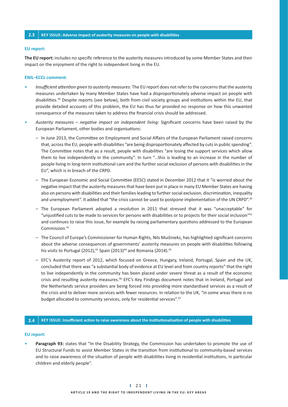#### **2.3 KEY ISSUE: Adverse impact of austerity measures on people with disabilities**

#### **EU report:**

The EU report: includes no specific reference to the austerity measures introduced by some Member States and their impact on the enjoyment of the right to independent living in the EU.

#### **ENIL–ECCL comment:**

- **•** *Insufficient attention given to austerity measures:* The EU report does not refer to the concerns that the austerity measures undertaken by many Member States have had a disproportionately adverse impact on people with disabilities.<sup>39</sup> Despite reports (see below), both from civil society groups and institutions within the EU, that provide detailed accounts of this problem, the EU has thus far provided no response on how this unwanted consequence of the measures taken to address the financial crisis should be addressed.
- Austerity measures negative impact on independent living: Significant concerns have been raised by the European Parliament, other bodies and organisations:
	- In June 2013, the Committee on Employment and Social Affairs of the European Parliament raised concerns that, across the EU, people with disabilities "are being disproportionately affected by cuts in public spending". The Committee notes that as a result, people with disabilities "are losing the support services which allow them to live independently in the community". In turn "...this is leading to an increase in the number of people living in long-term institutional care and the further social exclusion of persons with disabilities in the EU", which is in breach of the CRPD.
	- The European Economic and Social Committee (EESC) stated in December 2012 that it "is worried about the negative impact that the austerity measures that have been put in place in many EU Member States are having also on persons with disabilities and their families leading to further social exclusion, discrimination, inequality and unemployment". It added that "the crisis cannot be used to postpone implementation of the UN CRPD".<sup>40</sup>
- The European Parliament adopted a resolution in 2011 that stressed that it was "unacceptable" for "unjustified cuts to be made to services for persons with disabilities or to projects for their social inclusion"<sup>41</sup> and continues to raise this issue, for example by raising parliamentary questions addressed to the European Commission.42
	- The Council of Europe's Commissioner for Human Rights, Nils Muižnieks, has highlighted significant concerns about the adverse consequences of governments' austerity measures on people with disabilities following his visits to Portugal (2012),<sup>43</sup> Spain (2013)<sup>44</sup> and Romania (2014).<sup>45</sup>
	- EFC's Austerity report of 2012, which focused on Greece, Hungary, Ireland, Portugal, Spain and the UK, concluded that there was "a substantial body of evidence at EU level and from country reports" that the right to live independently in the community has been placed under severe threat as a result of the economic crisis and resulting austerity measures.<sup>46</sup> EFC's Key Findings document notes that in Ireland, Portugal and the Netherlands service providers are being forced into providing more standardised services as a result of the crisis and to deliver more services with fewer resources. In relation to the UK, "in some areas there is no budget allocated to community services, only for residential services".<sup>47</sup>

#### **2.4** KEY ISSUE: Insufficient action to raise awareness about the institutionalisation of people with disabilities

#### **EU report:**

Paragraph 93: states that "In the Disability Strategy, the Commission has undertaken to promote the use of EU Structural Funds to assist Member States in the transition from institutional to community-based services and to raise awareness of the situation of people with disabilities living in residential institutions, in particular children and elderly people".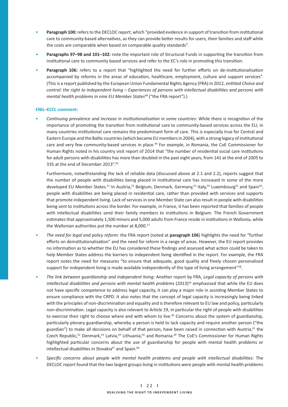- Paragraph 100: refers to the DECLOC report, which "provided evidence in support of transition from institutional care to community-based alternatives, as they can provide better results for users, their families and staff while the costs are comparable when based on comparable quality standards".
- Paragraphs 97-98 and 101-102: note the important role of Structural Funds in supporting the transition from institutional care to community based services and refer to the EC's role in promoting this transition.
- Paragraph 106: refers to a report that "highlighted the need for further efforts on de-institutionalisation accompanied by reforms in the areas of education, healthcare, employment, culture and support services". (This is a report published by the European Union Fundamental Rights Agency (FRA) in 2012, entitled Choice and control: the right to independent living - Experiences of persons with intellectual disabilities and persons with *mental health problems in nine EU Member States48* ("the FRA report").)

#### **ENIL–ECCL comment:**

• Continuing prevalence and increase in institutionalisation in some countries: While there is recognition of the importance of promoting the transition from institutional care to community-based services across the EU, in many countries institutional care remains the predominant form of care. This is especially true for Central and Eastern Europe and the Baltic countries (which became EU members in 2004), with a strong legacy of institutional care and very few community-based services in place.<sup>49</sup> For example, in Romania, the CoE Commissioner for Human Rights noted in his country visit report of 2014 that "the number of residential social care institutions for adult persons with disabilities has more than doubled in the past eight years, from 141 at the end of 2005 to 335 at the end of December 2013".50

 Furthermore, notwithstanding the lack of reliable data (discussed above at 2.1 and 2.2), reports suggest that the number of people with disabilities being placed in institutional care has increased in some of the more developed EU Member States.<sup>51</sup> In Austria,<sup>52</sup> Belgium, Denmark, Germany,<sup>53</sup> Italy,<sup>54</sup> Luxembourg<sup>55</sup> and Spain<sup>56</sup>, people with disabilities are being placed in residential care, rather than provided with services and supports that promote independent living. Lack of services in one Member State can also result in people with disabilities being sent to institutions across the border. For example, in France, it has been reported that families of people with intellectual disabilities send their family members to institutions in Belgium. The French Government estimates that approximately 1,500 minors and 5,000 adults from France reside in institutions in Wallonia, while the Wallonian authorities put the number at 8,000.<sup>57</sup>

- *The need for legal and policy reform:* the FRA report (noted at **paragraph 106**) highlights the need for "further efforts on deinstitutionalisation" and the need for reform in a range of areas. However, the EU report provides no information as to whether the EU has considered these findings and assessed what action could be taken to help Member States address the barriers to independent living identified in the report. For example, the FRA report notes the need for measures "to ensure that adequate, good quality and freely chosen personalised support for independent living is made available independently of the type of living arrangement"<sup>58</sup>.
- *The link between guardianship and independent living:* Another report by FRA, *Legal capacity of persons with*  intellectual disabilities and persons with mental health problems (2013)<sup>59</sup> emphasised that while the EU does not have specific competence to address legal capacity, it can play a major role in assisting Member States to ensure compliance with the CRPD. It also notes that the concept of legal capacity is increasingly being linked with the principles of non-discrimination and equality and is therefore relevant to EU law and policy, particularly non-discrimination. Legal capacity is also relevant to Article 19, in particular the right of people with disabilities to exercise their right to choose where and with whom to live.<sup>60</sup> Concerns about the system of guardianship, particularly plenary guardianship, whereby a person is held to lack capacity and require another person ("the guardian") to make all decisions on behalf of that person, have been raised in connection with Austria,<sup>61</sup> the Czech Republic,<sup>62</sup> Denmark,<sup>63</sup> Latvia,<sup>64</sup> Lithuania,<sup>65</sup> and Romania.<sup>66</sup> The CoE's Commissioner for Human Rights highlighted particular concerns about the use of guardianship for people with mental health problems or intellectual disabilities in Slovakia<sup>67</sup> and Spain.<sup>68</sup>
- Specific concerns about people with mental health problems and people with intellectual disabilities: The DECLOC report found that the two largest groups living in institutions were people with mental health problems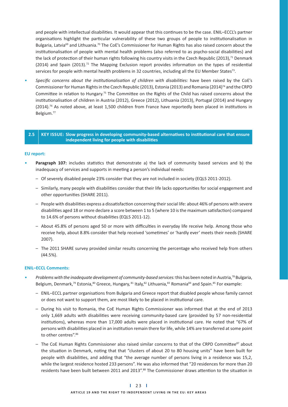and people with intellectual disabilities. It would appear that this continues to be the case. ENIL–ECCL's partner organisations highlight the particular vulnerability of these two groups of people to institutionalisation in Bulgaria, Latvia<sup>69</sup> and Lithuania.<sup>70</sup> The CoE's Commissioner for Human Rights has also raised concern about the institutionalisation of people with mental health problems (also referred to as psycho-social disabilities) and the lack of protection of their human rights following his country visits in the Czech Republic (2013),<sup>71</sup> Denmark (2014) and Spain (2013).<sup>72</sup> The Mapping Exclusion report provides information on the types of residential services for people with mental health problems in 32 countries, including all the EU Member States<sup>73</sup>.

• Specific concerns about the institutionalisation of children with disabilities: have been raised by the CoE's Commissioner for Human Rights in the Czech Republic (2013), Estonia (2013) and Romania (2014)74 and the CRPD Committee in relation to Hungary.<sup>75</sup> The Committee on the Rights of the Child has raised concerns about the institutionalisation of children in Austria (2012), Greece (2012), Lithuania (2013), Portugal (2014) and Hungary  $(2014).$ <sup>76</sup> As noted above, at least 1,500 children from France have reportedly been placed in institutions in Belgium.77

#### **2.5** KEY ISSUE: Slow progress in developing community-based alternatives to institutional care that ensure independent living for people with disabilities

#### **EU report:**

- Paragraph 107: includes statistics that demonstrate a) the lack of community based services and b) the inadequacy of services and supports in meeting a person's individual needs:
	- Of severely disabled people 23% consider that they are not included in society (EQLS 2011-2012).
- Similarly, many people with disabilities consider that their life lacks opportunities for social engagement and other opportunities (SHARE 2011).
- People with disabilities express a dissatisfaction concerning their social life: about 46% of persons with severe disabilities aged 18 or more declare a score between 1 to 5 (where 10 is the maximum satisfaction) compared to 14.6% of persons without disabilities (EQLS 2011-12).
- About 45.8% of persons aged 50 or more with difficulties in everyday life receive help. Among those who receive help, about 8.8% consider that help received 'sometimes' or 'hardly ever' meets their needs (SHARE 2007).
	- The 2011 SHARE survey provided similar results concerning the percentage who received help from others (44.5%).

- *Problems with the inadequate development of community-based services:* this has been noted in Austria,78 Bulgaria, Belgium, Denmark,<sup>79</sup> Estonia,<sup>80</sup> Greece, Hungary, <sup>81</sup> Italy, <sup>82</sup> Lithuania, <sup>83</sup> Romania<sup>84</sup> and Spain. <sup>85</sup> For example:
- ENIL-ECCL partner organisations from Bulgaria and Greece report that disabled people whose family cannot or does not want to support them, are most likely to be placed in institutional care.
	- During his visit to Romania, the CoE Human Rights Commissioner was informed that at the end of 2013 only 1,669 adults with disabilities were receiving community-based care (provided by 57 non-residential institutions), whereas more than 17,000 adults were placed in institutional care. He noted that "67% of persons with disabilities placed in an institution remain there for life, while 14% are transferred at some point to other centres". 86
	- The CoE Human Rights Commissioner also raised similar concerns to that of the CRPD Committee<sup>87</sup> about the situation in Denmark, noting that that "clusters of about 20 to 80 housing units" have been built for people with disabilities, and adding that "the average number of persons living in a residence was 15,2, while the largest residence hosted 233 persons". He was also informed that "20 residences for more than 20 residents have been built between 2011 and 2013".<sup>88</sup> The Commissioner draws attention to the situation in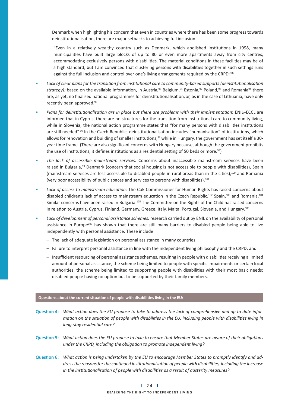Denmark when highlighting his concern that even in countries where there has been some progress towards deinstitutionalisation, there are major setbacks to achieving full inclusion:

"Even in a relatively wealthy country such as Denmark, which abolished institutions in 1998, many municipalities have built large blocks of up to 80 or even more apartments away from city centres, accommodating exclusively persons with disabilities. The material conditions in these facilities may be of a high standard, but I am convinced that clustering persons with disabilities together in such settings runs against the full inclusion and control over one's living arrangements required by the CRPD."89

- Lack of clear plans for the transition from institutional care to community-based supports (deinstitutionalisation strategy): based on the available information, in Austria,<sup>90</sup> Belgium,<sup>91</sup> Estonia,<sup>92</sup> Poland,<sup>93</sup> and Romania<sup>94</sup> there are, as yet, no finalised national programmes for deinstitutionalisation, or, as in the case of Lithuania, have only recently been approved.<sup>95</sup>
- Plans for deinstitutionalisation are in place but there are problems with their implementation: ENIL–ECCL are informed that in Cyprus, there are no structures for the transition from institutional care to community living, while in Slovenia, the national action programme states that "for many persons with disabilities institutions are still needed".<sup>96</sup> In the Czech Republic, deinstitutionalisation includes "humanisation" of institutions, which allows for renovation and building of smaller institutions,<sup>97</sup> while in Hungary, the government has set itself a 30year time frame. (There are also significant concerns with Hungary because, although the government prohibits the use of institutions, it defines institutions as a residential setting of 50 beds or more.<sup>98</sup>)
- *The lack of accessible mainstream services:* Concerns about inaccessible mainstream services have been raised in Bulgaria,<sup>99</sup> Denmark (concern that social housing is not accessible to people with disabilities), Spain (mainstream services are less accessible to disabled people in rural areas than in the cities), $100$  and Romania (very poor accessibility of public spaces and services to persons with disabilities). $101$
- Lack of access to mainstream education: The CoE Commissioner for Human Rights has raised concerns about disabled children's lack of access to mainstream education in the Czech Republic,<sup>102</sup> Spain,<sup>103</sup> and Romania.<sup>104</sup> Similar concerns have been raised in Bulgaria.<sup>105</sup> The Committee on the Rights of the Child has raised concerns in relation to Austria, Cyprus, Finland, Germany, Greece, Italy, Malta, Portugal, Slovenia, and Hungary.<sup>106</sup>
- *Lack of development of personal assistance schemes:* research carried out by ENIL on the availability of personal assistance in Europe<sup>107</sup> has shown that there are still many barriers to disabled people being able to live independently with personal assistance. These include:
- The lack of adequate legislation on personal assistance in many countries;
	- Failure to interpret personal assistance in line with the independent living philosophy and the CRPD; and
	- Insufficient resourcing of personal assistance schemes, resulting in people with disabilities receiving a limited amount of personal assistance, the scheme being limited to people with specific impairments or certain local authorities; the scheme being limited to supporting people with disabilities with their most basic needs; disabled people having no option but to be supported by their family members.

#### Questions about the current situation of people with disabilities living in the EU:

- Question 4: What action does the EU propose to take to address the lack of comprehensive and up to date infor*mation on the situation of people with disabilities in the EU, including people with disabilities living in long-stay residential care?*
- **Question 5:** What action does the EU propose to take to ensure that Member States are aware of their obligations under the CRPD, including the obligation to promote independent living?
- Question 6: What action is being undertaken by the EU to encourage Member States to promptly identify and address the reasons for the continued institutionalisation of people with disabilities, including the increase in the institutionalisation of people with disabilities as a result of austerity measures?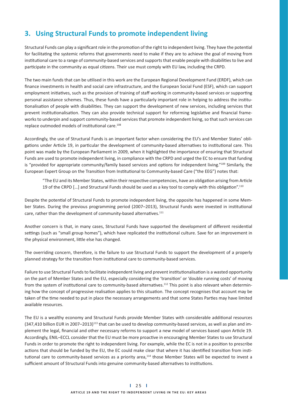# **3. Using Structural Funds to promote independent living**

Structural Funds can play a significant role in the promotion of the right to independent living. They have the potential for facilitating the systemic reforms that governments need to make if they are to achieve the goal of moving from institutional care to a range of community-based services and supports that enable people with disabilities to live and participate in the community as equal citizens. Their use must comply with EU law, including the CRPD.

The two main funds that can be utilised in this work are the European Regional Development Fund (ERDF), which can finance investments in health and social care infrastructure, and the European Social Fund (ESF), which can support employment initiatives, such as the provision of training of staff working in community-based services or supporting personal assistance schemes. Thus, these funds have a particularly important role in helping to address the institutionalisation of people with disabilities. They can support the development of new services, including services that prevent institutionalisation. They can also provide technical support for reforming legislative and financial frameworks to underpin and support community-based services that promote independent living, so that such services can replace outmoded models of institutional care.<sup>108</sup>

Accordingly, the use of Structural Funds is an important factor when considering the EU's and Member States' obligations under Article 19, in particular the development of community-based alternatives to institutional care. This point was made by the European Parliament in 2009, when it highlighted the importance of ensuring that Structural Funds are used to promote independent living, in compliance with the CRPD and urged the EC to ensure that funding is "provided for appropriate community/family based services and options for independent living."<sup>109</sup> Similarly, the European Expert Group on the Transition from Institutional to Community-based Care ("the EEG") notes that:

"The EU and its Member States, within their respective competencies, have an obligation arising from Article 19 of the CRPD [...] and Structural Funds should be used as a key tool to comply with this obligation".<sup>110</sup>

Despite the potential of Structural Funds to promote independent living, the opposite has happened in some Member States. During the previous programming period (2007-2013), Structural Funds were invested in institutional care, rather than the development of community-based alternatives.<sup>111</sup>

Another concern is that, in many cases, Structural Funds have supported the development of different residential settings (such as "small group homes"), which have replicated the institutional culture. Save for an improvement in the physical environment, little else has changed.

The overriding concern, therefore, is the failure to use Structural Funds to support the development of a properly planned strategy for the transition from institutional care to community-based services.

Failure to use Structural Funds to facilitate independent living and prevent institutionalisation is a wasted opportunity on the part of Member States and the EU, especially considering the 'transition' or 'double running costs' of moving from the system of institutional care to community-based alternatives.<sup>112</sup> This point is also relevant when determining how the concept of progressive realisation applies to this situation. The concept recognises that account may be taken of the time needed to put in place the necessary arrangements and that some States Parties may have limited available resources.

The EU is a wealthy economy and Structural Funds provide Member States with considerable additional resources (347,410 billion EUR in 2007–2013)113 that can be used to develop community-based services, as well as plan and implement the legal, financial and other necessary reforms to support a new model of services based upon Article 19. Accordingly, ENIL-ECCL consider that the EU must be more proactive in encouraging Member States to use Structural Funds in order to promote the right to independent living. For example, while the EC is not in a position to prescribe actions that should be funded by the EU, the EC could make clear that where it has identified transition from institutional care to community-based services as a priority area,<sup>114</sup> those Member States will be expected to invest a sufficient amount of Structural Funds into genuine community-based alternatives to institutions.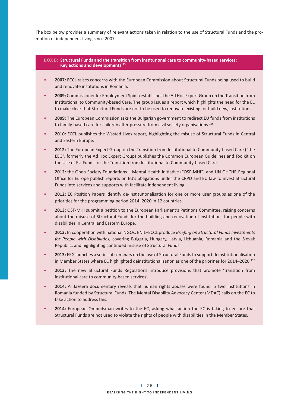The box below provides a summary of relevant actions taken in relation to the use of Structural Funds and the promotion of independent living since 2007.

#### BOX B: Structural Funds and the transition from institutional care to community-based services: *Key actions and developments*<sup>115</sup>

- **2007:** ECCL raises concerns with the European Commission about Structural Funds being used to build and renovate institutions in Romania.
- 2009: Commissioner for Employment Spidla establishes the Ad Hoc Expert Group on the Transition from Institutional to Community-based Care. The group issues a report which highlights the need for the EC to make clear that Structural Funds are not to be used to renovate existing, or build new, institutions.
- 2009: The European Commission asks the Bulgarian government to redirect EU funds from institutions to family-based care for children after pressure from civil society organisations. $^{116}$
- 2010: ECCL publishes the Wasted Lives report, highlighting the misuse of Structural Funds in Central and Eastern Europe.
- 2012: The European Expert Group on the Transition from Institutional to Community-based Care ("the EEG", formerly the Ad Hoc Expert Group) publishes the Common European Guidelines and Toolkit on the Use of EU Funds for the Transition from Institutional to Community-based Care.
- 2012: the Open Society Foundations Mental Health Initiative ("OSF-MHI") and UN OHCHR Regional Office for Europe publish reports on EU's obligations under the CRPD and EU law to invest Structural Funds into services and supports with facilitate independent living.
- 2012: EC Position Papers identify de-institutionalisation for one or more user groups as one of the priorities for the programming period 2014-2020 in 12 countries.
- 2013: OSF-MHI submit a petition to the European Parliament's Petitions Committee, raising concerns about the misuse of Structural Funds for the building and renovation of institutions for people with disabilities in Central and Eastern Europe.
- 2013: In cooperation with national NGOs, ENIL–ECCL produce *Briefing on Structural Funds Investments* for People with Disabilities, covering Bulgaria, Hungary, Latvia, Lithuania, Romania and the Slovak Republic, and highlighting continued misuse of Structural Funds.
- 2013: EEG launches a series of seminars on the use of Structural Funds to support deinstitutionalisation in Member States where EC highlighted deinstitutionalisation as one of the priorities for 2014–2020.<sup>117</sup>
- 2013: The new Structural Funds Regulations introduce provisions that promote 'transition from institutional care to community-based services'.
- 2014: Al Jazeera documentary reveals that human rights abuses were found in two institutions in Romania funded by Structural Funds. The Mental Disability Advocacy Center (MDAC) calls on the EC to take action to address this.
- 2014: European Ombudsman writes to the EC, asking what action the EC is taking to ensure that Structural Funds are not used to violate the rights of people with disabilities in the Member States.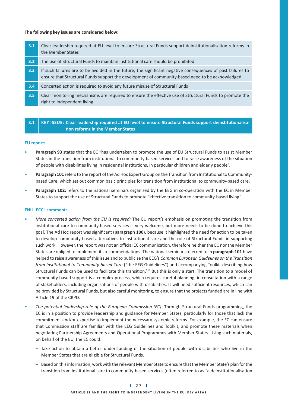#### **The following key issues are considered below:**

| 3.1 | Clear leadership required at EU level to ensure Structural Funds support deinstitutionalisation reforms in<br>the Member States                                                                                |
|-----|----------------------------------------------------------------------------------------------------------------------------------------------------------------------------------------------------------------|
| 3.2 | The use of Structural Funds to maintain institutional care should be prohibited                                                                                                                                |
| 3.3 | If such failures are to be avoided in the future, the significant negative consequences of past failures to<br>ensure that Structural Funds support the development of community-based need to be acknowledged |
| 3.4 | Concerted action is required to avoid any future misuse of Structural Funds                                                                                                                                    |
| 3.5 | Clear monitoring mechanisms are required to ensure the effective use of Structural Funds to promote the<br>right to independent living                                                                         |

**3.1** KEY ISSUE: Clear leadership required at EU level to ensure Structural Funds support deinstitutionalisa-**- on reforms in the Member States** 

#### **EU report:**

- **Paragraph 93** states that the EC "has undertaken to promote the use of EU Structural Funds to assist Member States in the transition from institutional to community-based services and to raise awareness of the situation of people with disabilities living in residential institutions, in particular children and elderly people".
- Paragraph 101 refers to the report of the Ad Hoc Expert Group on the Transition from Institutional to Communitybased Care, which set out common basic principles for transition from institutional to community-based care.
- Paragraph 102: refers to the national seminars organised by the EEG in co-operation with the EC in Member States to support the use of Structural Funds to promote "effective transition to community-based living".

- More concerted action from the EU is required: The EU report's emphasis on promoting the transition from institutional care to community-based services is very welcome, but more needs to be done to achieve this goal. The Ad Hoc report was significant (**paragraph 100**), because it highlighted the need for action to be taken to develop community-based alternatives to institutional care and the role of Structural Funds in supporting such work. However, the report was not an official EC communication, therefore neither the EC nor the Member States are obliged to implement its recommendations. The national seminars referred to in **paragraph 101** have helped to raise awareness of this issue and to publicise the EEG's Common European Guidelines on the Transition *from Institutional to Community-based Care ("the EEG Guidelines") and accompanying Toolkit describing how* Structural Funds can be used to facilitate this transition.<sup>118</sup> But this is only a start. The transition to a model of community-based support is a complex process, which requires careful planning, in consultation with a range of stakeholders, including organisations of people with disabilities. It will need sufficient resources, which can be provided by Structural Funds, but also careful monitoring, to ensure that the projects funded are in line with Article 19 of the CRPD.
- The potential leadership role of the European Commission (EC): Through Structural Funds programming, the EC is in a position to provide leadership and guidance for Member States, particularly for those that lack the commitment and/or expertise to implement the necessary systemic reforms. For example, the EC can ensure that Commission staff are familiar with the EEG Guidelines and Toolkit, and promote these materials when negotiating Partnership Agreements and Operational Programmes with Member States. Using such materials, on behalf of the EU, the EC could:
- Take action to obtain a better understanding of the situation of people with disabilities who live in the Member States that are eligible for Structural Funds.
- Based on this information, work with the relevant Member State to ensure that the Member State's plan for the transition from institutional care to community-based services (often referred to as "a deinstitutionalisation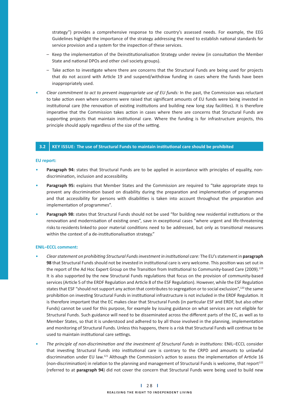strategy") provides a comprehensive response to the country's assessed needs. For example, the EEG Guidelines highlight the importance of the strategy addressing the need to establish national standards for service provision and a system for the inspection of these services.

- Keep the implementation of the Deinstitutionalisation Strategy under review (in consultation the Member State and national DPOs and other civil society groups).
- Take action to investigate where there are concerns that the Structural Funds are being used for projects that do not accord with Article 19 and suspend/withdraw funding in cases where the funds have been inappropriately used.
- *Clear commitment to act to prevent inappropriate use of EU funds:* In the past, the Commission was reluctant to take action even where concerns were raised that significant amounts of EU funds were being invested in institutional care (the renovation of existing institutions and building new long stay facilities). It is therefore imperative that the Commission takes action in cases where there are concerns that Structural Funds are supporting projects that maintain institutional care. Where the funding is for infrastructure projects, this principle should apply regardless of the size of the setting.

### **3.2** KEY ISSUE: The use of Structural Funds to maintain institutional care should be prohibited

#### **EU report:**

- **Paragraph 94:** states that Structural Funds are to be applied in accordance with principles of equality, nondiscrimination, inclusion and accessibility.
- **Paragraph 95:** explains that Member States and the Commission are required to "take appropriate steps to prevent any discrimination based on disability during the preparation and implementation of programmes and that accessibility for persons with disabilities is taken into account throughout the preparation and implementation of programmes".
- Paragraph 98: states that Structural Funds should not be used "for building new residential institutions or the renovation and modernisation of existing ones", save in exceptional cases "where urgent and life-threatening risks to residents linked to poor material conditions need to be addressed, but only as transitional measures within the context of a de-institutionalisation strategy."

- Clear statement on prohibiting Structural Funds investment in institutional care: The EU's statement in paragraph 98 that Structural Funds should not be invested in institutional care is very welcome. This position was set out in the report of the Ad Hoc Expert Group on the Transition from Institutional to Community-based Care (2009).<sup>119</sup> It is also supported by the new Structural Funds regulations that focus on the provision of community-based services (Article 5 of the ERDF Regulation and Article 8 of the ESF Regulation). However, while the ESF Regulation states that ESF "should not support any action that contributes to segregation or to social exclusion",<sup>120</sup> the same prohibition on investing Structural Funds in institutional infrastructure is not included in the ERDF Regulation. It is therefore important that the EC makes clear that Structural Funds (in particular ESF and ERDF, but also other Funds) cannot be used for this purpose, for example by issuing guidance on what services are not eligible for Structural Funds. Such guidance will need to be disseminated across the different parts of the EC, as well as to Member States, so that it is understood and adhered to by all those involved in the planning, implementation and monitoring of Structural Funds. Unless this happens, there is a risk that Structural Funds will continue to be used to maintain institutional care settings.
- The principle of non-discrimination and the investment of Structural Funds in institutions: ENIL–ECCL consider that investing Structural Funds into institutional care is contrary to the CRPD and amounts to unlawful discrimination under EU law.<sup>121</sup> Although the Commission's action to assess the implementation of Article 16 (non-discrimination) in relation to the planning and management of Structural Funds is welcome, that report<sup>122</sup> (referred to at **paragraph 94**) did not cover the concern that Structural Funds were being used to build new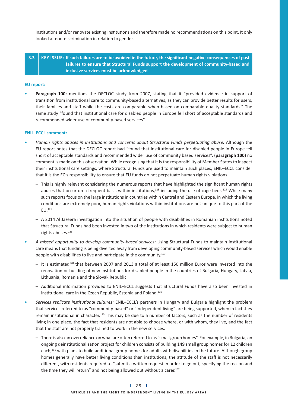institutions and/or renovate existing institutions and therefore made no recommendations on this point. It only looked at non-discrimination in relation to gender.

## **3.3** KEY ISSUE: If such failures are to be avoided in the future, the significant negative consequences of past **failures to ensure that Structural Funds support the development of community-based and inclusive services must be acknowledged**

#### **EU report:**

• Paragraph 100: mentions the DECLOC study from 2007, stating that it "provided evidence in support of transition from institutional care to community-based alternatives, as they can provide better results for users, their families and staff while the costs are comparable when based on comparable quality standards." The same study "found that institutional care for disabled people in Europe fell short of acceptable standards and recommended wider use of community-based services".

- Human rights abuses in institutions and concerns about Structural Funds perpetuating abuse: Although the EU report notes that the DECLOC report had "found that institutional care for disabled people in Europe fell short of acceptable standards and recommended wider use of community based services", (**paragraph 100)** no comment is made on this observation. While recognising that it is the responsibility of Member States to inspect their institutional care settings, where Structural Funds are used to maintain such places, ENIL–ECCL consider that it is the EC's responsibility to ensure that EU funds do not perpetuate human rights violations.
	- This is highly relevant considering the numerous reports that have highlighted the significant human rights abuses that occur on a frequent basis within institutions, $123$  including the use of cage beds.<sup>124</sup> While many such reports focus on the large institutions in countries within Central and Eastern Europe, in which the living conditions are extremely poor, human rights violations within institutions are not unique to this part of the EU.125
- A 2014 Al Jazeera investigation into the situation of people with disabilities in Romanian institutions noted that Structural Funds had been invested in two of the institutions in which residents were subject to human rights abuses.<sup>126</sup>
- A missed opportunity to develop community-based services: Using Structural Funds to maintain institutional care means that funding is being diverted away from developing community-based services which would enable people with disabilities to live and participate in the community. $127$
- $-$  It is estimated<sup>128</sup> that between 2007 and 2013 a total of at least 150 million Euros were invested into the renovation or building of new institutions for disabled people in the countries of Bulgaria, Hungary, Latvia, Lithuania, Romania and the Slovak Republic.
- Additional information provided to ENIL-ECCL suggests that Structural Funds have also been invested in institutional care in the Czech Republic, Estonia and Poland.<sup>129</sup>
- Services replicate institutional cultures: ENIL–ECCL's partners in Hungary and Bulgaria highlight the problem that services referred to as "community-based" or "independent living" are being supported, when in fact they remain institutional in character.<sup>130</sup> This may be due to a number of factors, such as the number of residents living in one place, the fact that residents are not able to choose where, or with whom, they live, and the fact that the staff are not properly trained to work in the new services.
	- $-$  There is also an overreliance on what are often referred to as "small group homes". For example, in Bulgaria, an ongoing deinstitutionalisation project for children consists of building 149 small group homes for 12 children each,<sup>131</sup> with plans to build additional group homes for adults with disabilities in the future. Although group homes generally have better living conditions than institutions, the attitude of the staff is not necessarily different, with residents required to "submit a written request in order to go out, specifying the reason and the time they will return" and not being allowed out without a carer. $^{132}$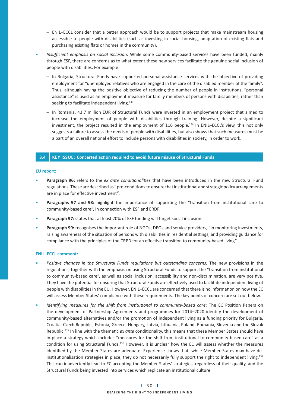- ENIL-ECCL consider that a better approach would be to support projects that make mainstream housing accessible to people with disabilities (such as investing in social housing, adaptation of existing flats and purchasing existing flats or homes in the community).
- *Insuffi cient emphasis on social inclusion:* While some community-based services have been funded, mainly through ESF, there are concerns as to what extent these new services facilitate the genuine social inclusion of people with disabilities. For example:
- In Bulgaria, Structural Funds have supported personal assistance services with the objective of providing employment for "unemployed relatives who are engaged in the care of the disabled member of the family". Thus, although having the positive objective of reducing the number of people in institutions, "personal assistance" is used as an employment measure for family members of persons with disabilities, rather than seeking to facilitate independent living.<sup>133</sup>
	- In Romania, 43.7 million EUR of Structural Funds were invested in an employment project that aimed to increase the employment of people with disabilities through training. However, despite a significant investment, the project resulted in the employment of 116 people.134 In ENIL–ECCL's view, this not only suggests a failure to assess the needs of people with disabilities, but also shows that such measures must be a part of an overall national effort to include persons with disabilities in society, in order to work.

### **3.4 KEY ISSUE: Concerted action required to avoid future misuse of Structural Funds**

#### **EU report:**

- Paragraph 96: refers to the ex ante conditionalities that have been introduced in the new Structural Fund regulations. These are described as "pre-conditions to ensure that institutional and strategic policy arrangements are in place for effective investment".
- Paragraphs 97 and 98: highlight the importance of supporting the "transition from institutional care to community-based care", in connection with ESF and ERDF.
- Paragraph 97: states that at least 20% of ESF funding will target social inclusion.
- **Paragraph 99:** recognises the important role of NGOs, DPOs and service providers, "in monitoring investments, raising awareness of the situation of persons with disabilities in residential settings, and providing guidance for compliance with the principles of the CRPD for an effective transition to community-based living".

- Positive changes in the Structural Funds regulations but outstanding concerns: The new provisions in the regulations, together with the emphasis on using Structural Funds to support the "transition from institutional to community-based care", as well as social inclusion, accessibility and non-discrimination, are very positive. They have the potential for ensuring that Structural Funds are effectively used to facilitate independent living of people with disabilities in the EU. However, ENIL-ECCL are concerned that there is no information on how the EC will assess Member States' compliance with these requirements. The key points of concern are set out below.
- Identifying measures for the shift from institutional to community-based care: The EC Position Papers on the development of Partnership Agreements and programmes for 2014-2020 identify the development of community-based alternatives and/or the promotion of independent living as a funding priority for Bulgaria, Croatia, Czech Republic, Estonia, Greece, Hungary, Latvia, Lithuania, Poland, Romania, Slovenia and the Slovak Republic.<sup>135</sup> In line with the thematic ex ante conditionality, this means that these Member States should have in place a strategy which includes "measures for the shift from institutional to community based care" as a condition for using Structural Funds.<sup>136</sup> However, it is unclear how the EC will assess whether the measures identified by the Member States are adequate. Experience shows that, while Member States may have deinstitutionalisation strategies in place, they do not necessarily fully support the right to independent living.<sup>137</sup> This can inadvertently lead to EC accepting the Member States' strategies, regardless of their quality, and the Structural Funds being invested into services which replicate an institutional culture.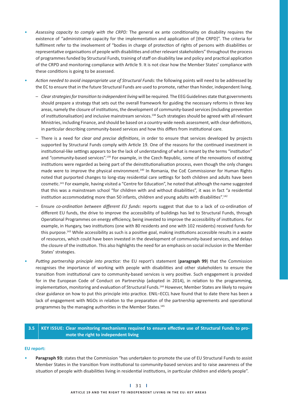- Assessing capacity to comply with the CRPD: The general ex ante conditionality on disability requires the existence of "administrative capacity for the implementation and application of [the CRPD]". The criteria for fulfilment refer to the involvement of "bodies in charge of protection of rights of persons with disabilities or representative organisations of people with disabilities and other relevant stakeholders" throughout the process of programmes funded by Structural Funds, training of staff on disability law and policy and practical application of the CRPD and monitoring compliance with Article 9. It is not clear how the Member States' compliance with these conditions is going to be assessed.
- Action needed to avoid inappropriate use of Structural Funds: the following points will need to be addressed by the EC to ensure that in the future Structural Funds are used to promote, rather than hinder, independent living.
- Clear strategies for transition to independent living will be required. The EEG Guidelines state that governments should prepare a strategy that sets out the overall framework for guiding the necessary reforms in three key areas, namely the closure of institutions, the development of community-based services (including prevention of institutionalisation) and inclusive mainstream services.<sup>138</sup> Such strategies should be agreed with all relevant Ministries, including Finance, and should be based on a country-wide needs assessment, with clear definitions, in particular describing community-based services and how this differs from institutional care.
- There is a need for *clear and precise definitions*, in order to ensure that services developed by projects supported by Structural Funds comply with Article 19. One of the reasons for the continued investment in institutional-like settings appears to be the lack of understanding of what is meant by the terms "institution" and "community-based services".<sup>139</sup> For example, in the Czech Republic, some of the renovations of existing institutions were regarded as being part of the deinstitutionalisation process, even though the only changes made were to improve the physical environment.<sup>140</sup> In Romania, the CoE Commissioner for Human Rights noted that purported changes to long-stay residential care settings for both children and adults have been cosmetic.<sup>141</sup> For example, having visited a "Centre for Education", he noted that although the name suggested that this was a mainstream school "for children with and without disabilities", it was in fact "a residential institution accommodating more than 50 infants, children and young adults with disabilities".<sup>142</sup>
- Ensure *co-ordination between different EU funds*: reports suggest that due to a lack of co-ordination of different EU funds, the drive to improve the accessibility of buildings has led to Structural Funds, through Operational Programmes on energy efficiency, being invested to improve the accessibility of institutions. For example, in Hungary, two institutions (one with 80 residents and one with 102 residents) received funds for this purpose.<sup>143</sup> While accessibility as such is a positive goal, making institutions accessible results in a waste of resources, which could have been invested in the development of community-based services, and delays the closure of the institution. This also highlights the need for an emphasis on social inclusion in the Member States' strategies.
- Putting partnership principle into practice: the EU report's statement (paragraph 99) that the Commission recognises the importance of working with people with disabilities and other stakeholders to ensure the transition from institutional care to community-based services is very positive. Such engagement is provided for in the European Code of Conduct on Partnership (adopted in 2014), in relation to the programming, implementation, monitoring and evaluation of Structural Funds.<sup>144</sup> However, Member States are likely to require clear guidance on how to put this principle into practice. ENIL-ECCL have found that to date there has been a lack of engagement with NGOs in relation to the preparation of the partnership agreements and operational programmes by the managing authorities in the Member States.<sup>145</sup>

### 3.5 KEY ISSUE: Clear monitoring mechanisms required to ensure effective use of Structural Funds to pro**mote the right to independent living**

### **EU report:**

• **Paragraph 93:** states that the Commission "has undertaken to promote the use of EU Structural Funds to assist Member States in the transition from institutional to community-based services and to raise awareness of the situation of people with disabilities living in residential institutions, in particular children and elderly people".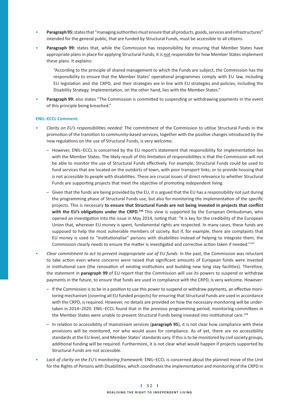- **Paragraph 95:** states that "managing authorities must ensure that all products, goods, services and infrastructures" intended for the general public, that are funded by Structural Funds, must be accessible to all citizens.
- Paragraph 99: states that, while the Commission has responsibility for ensuring that Member States have appropriate plans in place for applying Structural Funds, it is not responsible for how Member States implement these plans. It explains:

"According to the principle of shared management to which the Funds are subject, the Commission has the responsibility to ensure that the Member States' operational programmes comply with EU law, including EU legislation and the CRPD, and their strategies are in line with EU strategies and policies, including the Disability Strategy. Implementation, on the other hand, lies with the Member States."

Paragraph 99: also states "The Commission is committed to suspending or withdrawing payments in the event of this principle being breached."

- Clarity on EU's responsibilities needed: The commitment of the Commission to utilise Structural Funds in the promotion of the transition to community-based services, together with the positive changes introduced by the new regulations on the use of Structural Funds, is very welcome.
- However, ENIL-ECCL is concerned by the EU report's statement that responsibility for implementation lies with the Member States. The likely result of this limitation of responsibilities is that the Commission will not be able to monitor the use of Structural Funds effectively. For example, Structural Funds could be used to fund services that are located on the outskirts of town, with poor transport links; or to provide housing that is not accessible to people with disabilities. These are crucial issues of direct relevance to whether Structural Funds are supporting projects that meet the objective of promoting independent living.
	- Given that the funds are being provided by the EU, it is argued that the EU has a responsibility not just during the programming phase of Structural Funds use, but also for monitoring the implementation of the specific projects. This is necessary to ensure that Structural Funds are not being invested in projects that conflict with the EU's obligations under the CRPD.<sup>146</sup> This view is supported by the European Ombudsman, who opened an investigation into the issue in May 2014, noting that: "It is key for the credibility of the European Union that, wherever EU money is spent, fundamental rights are respected. In many cases, these funds are supposed to help the most vulnerable members of society. But if, for example, there are complaints that EU money is used to "institutionalise" persons with disabilities instead of helping to integrate them, the Commission clearly needs to ensure the matter is investigated and corrective action taken if needed."<sup>147</sup>
- *Clear commitment to act to prevent inappropriate use of EU funds:* In the past, the Commission was reluctant to take action even where concerns were raised that significant amounts of European funds were invested in institutional care (the renovation of existing institutions and building new long stay facilities). Therefore, the statement in **paragraph 99** of EU report that the Commission will use its powers to suspend or withdraw payments in the future, to ensure that funds are used in compliance with the CRPD, is very welcome. However:
- If the Commission is to be in a position to use this power to suspend or withdraw payments, an effective monitoring mechanism (covering all EU funded projects) for ensuring that Structural Funds are used in accordance with the CRPD, is required. However, no details are provided on how the necessary monitoring will be undertaken in 2014–2020. ENIL–ECCL found that in the previous programming period, monitoring committees in the Member States were unable to prevent Structural Funds being invested into institutional care.<sup>148</sup>
- In relation to accessibility of mainstream services (paragraph 95), it is not clear how compliance with these provisions will be monitored, nor who would asses for compliance. As of yet, there are no accessibility standards at the EU level, and Member States' standards vary. If this is to be monitored by civil society groups, additional funding will be required. Furthermore, it is not clear what would happen if projects supported by Structural Funds are not accessible.
- *Lack of clarity on the EU's monitoring framework:* ENIL–ECCL is concerned about the planned move of the Unit for the Rights of Persons with Disabilities, which coordinates the implementation and monitoring of the CRPD in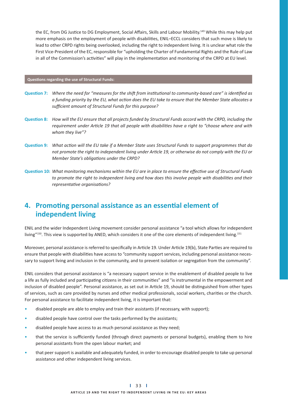the EC, from DG Justice to DG Employment, Social Affairs, Skills and Labour Mobility.<sup>149</sup> While this may help put more emphasis on the employment of people with disabilities, ENIL-ECCL considers that such move is likely to lead to other CRPD rights being overlooked, including the right to independent living. It is unclear what role the First Vice-President of the EC, responsible for "upholding the Charter of Fundamental Rights and the Rule of Law in all of the Commission's activities" will play in the implementation and monitoring of the CRPD at EU level.

#### **Questions regarding the use of Structural Funds:**

- Question 7: Where the need for "measures for the shift from institutional to community-based care" is identified as a funding priority by the EU, what action does the EU take to ensure that the Member State allocates a sufficient amount of Structural Funds for this purpose?
- Question 8: How will the EU ensure that all projects funded by Structural Funds accord with the CRPD, including the requirement under Article 19 that all people with disabilities have a right to "choose where and with *whom they live"?*
- Question 9: What action will the EU take if a Member State uses Structural Funds to support programmes that do not promote the right to independent living under Article 19, or otherwise do not comply with the EU or **Member State's obligations under the CRPD?**
- **Question 10:** What monitoring mechanisms within the EU are in place to ensure the effective use of Structural Funds to promote the right to independent living and how does this involve people with disabilities and their  $representative$  organisations?

## 4. Promoting personal assistance as an essential element of  **independent living**

ENIL and the wider Independent Living movement consider personal assistance "a tool which allows for independent living"<sup>150</sup>. This view is supported by ANED, which considers it one of the core elements of independent living.<sup>151</sup>

Moreover, personal assistance is referred to specifically in Article 19. Under Article 19(b), State Parties are required to ensure that people with disabilities have access to "community support services, including personal assistance necessary to support living and inclusion in the community, and to prevent isolation or segregation from the community".

ENIL considers that personal assistance is "a necessary support service in the enablement of disabled people to live a life as fully included and participating citizens in their communities" and "is instrumental in the empowerment and inclusion of disabled people". Personal assistance, as set out in Article 19, should be distinguished from other types of services, such as care provided by nurses and other medical professionals, social workers, charities or the church. For personal assistance to facilitate independent living, it is important that:

- disabled people are able to employ and train their assistants (if necessary, with support);
- disabled people have control over the tasks performed by the assistants;
- disabled people have access to as much personal assistance as they need;
- that the service is sufficiently funded (through direct payments or personal budgets), enabling them to hire personal assistants from the open labour market; and
- that peer support is available and adequately funded, in order to encourage disabled people to take up personal assistance and other independent living services.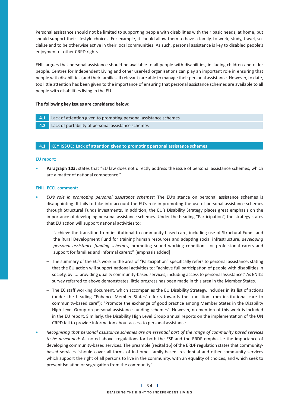Personal assistance should not be limited to supporting people with disabilities with their basic needs, at home, but should support their lifestyle choices. For example, it should allow them to have a family, to work, study, travel, socialise and to be otherwise active in their local communities. As such, personal assistance is key to disabled people's enjoyment of other CRPD rights.

ENIL argues that personal assistance should be available to all people with disabilities, including children and older people. Centres for Independent Living and other user-led organisations can play an important role in ensuring that people with disabilities (and their families, if relevant) are able to manage their personal assistance. However, to date, too little attention has been given to the importance of ensuring that personal assistance schemes are available to all people with disabilities living in the EU.

#### **The following key issues are considered below:**

- 4.1 Lack of attention given to promoting personal assistance schemes
- **4.2** Lack of portability of personal assistance schemes

#### **4.1 | KEY ISSUE: Lack of attention given to promoting personal assistance schemes**

#### **EU report:**

• **Paragraph 103:** states that "EU law does not directly address the issue of personal assistance schemes, which are a matter of national competence."

#### **ENIL–ECCL comment:**

• *EU's role in promoting personal assistance schemes:* The EU's stance on personal assistance schemes is disappointing. It fails to take into account the EU's role in promoting the use of personal assistance schemes through Structural Funds investments. In addition, the EU's Disability Strategy places great emphasis on the importance of developing personal assistance schemes. Under the heading "Participation", the strategy states that EU action will support national activities to:

"achieve the transition from institutional to community-based care, including use of Structural Funds and the Rural Development Fund for training human resources and adapting social infrastructure, *developing* personal assistance funding schemes, promoting sound working conditions for professional carers and support for families and informal carers;" [emphasis added]

- The summary of the EC's work in the area of "Participation" specifically refers to personal assistance, stating that the EU action will support national activities to: "achieve full participation of people with disabilities in society, by: ....providing quality community-based services, including access to personal assistance." As ENIL's survey referred to above demonstrates, little progress has been made in this area in the Member States.
- $-$  The EC staff working document, which accompanies the EU Disability Strategy, includes in its list of actions (under the heading "Enhance Member States' efforts towards the transition from institutional care to community-based care"): "Promote the exchange of good practice among Member States in the Disability High Level Group on personal assistance funding schemes". However, no mention of this work is included in the EU report. Similarly, the Disability High Level Group annual reports on the implementation of the UN CRPD fail to provide information about access to personal assistance.
- Recognising that personal assistance schemes are an essential part of the range of community based services to be developed: As noted above, regulations for both the ESF and the ERDF emphasise the importance of developing community-based services. The preamble (recital 16) of the ERDF regulation states that communitybased services "should cover all forms of in-home, family-based, residential and other community services which support the right of all persons to live in the community, with an equality of choices, and which seek to prevent isolation or segregation from the community".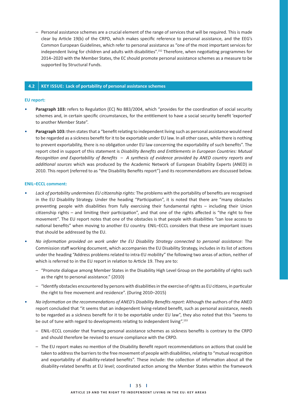– Personal assistance schemes are a crucial element of the range of services that will be required. This is made clear by Article 19(b) of the CRPD, which makes specific reference to personal assistance, and the EEG's Common European Guidelines, which refer to personal assistance as "one of the most important services for independent living for children and adults with disabilities".<sup>152</sup> Therefore, when negotiating programmes for 2014–2020 with the Member States, the EC should promote personal assistance schemes as a measure to be supported by Structural Funds.

### **4.2 KEY ISSUE: Lack of portability of personal assistance schemes**

#### **EU report:**

- Paragraph 103: refers to Regulation (EC) No 883/2004, which "provides for the coordination of social security schemes and, in certain specific circumstances, for the entitlement to have a social security benefit 'exported' to another Member State".
- Paragraph 103: then states that a "benefit relating to independent living such as personal assistance would need to be regarded as a sickness benefit for it to be exportable under EU law. In all other cases, while there is nothing to prevent exportability, there is no obligation under EU law concerning the exportability of such benefits". The report cited in support of this statement is *Disability Benefits and Entitlements in European Countries: Mutual* Recognition and Exportability of Benefits - A synthesis of evidence provided by ANED country reports and additional sources which was produced by the Academic Network of European Disability Experts (ANED) in 2010. This report (referred to as "the Disability Benefits report") and its recommendations are discussed below.

- Lack of portability undermines EU citizenship rights: The problems with the portability of benefits are recognised in the EU Disability Strategy. Under the heading "Participation", it is noted that there are "many obstacles preventing people with disabilities from fully exercising their fundamental rights - including their Union citizenship rights - and limiting their participation", and that one of the rights affected is "the right to free movement". The EU report notes that one of the obstacles is that people with disabilities "can lose access to national benefits" when moving to another EU country. ENIL-ECCL considers that these are important issues that should be addressed by the EU.
- No information provided on work under the EU Disability Strategy connected to personal assistance: The Commission staff working document, which accompanies the EU Disability Strategy, includes in its list of actions under the heading "Address problems related to intra-EU mobility" the following two areas of action, neither of which is referred to in the EU report in relation to Article 19. They are to:
	- "Promote dialogue among Member States in the Disability High Level Group on the portability of rights such as the right to personal assistance." (2010)
- "Identify obstacles encountered by persons with disabilities in the exercise of rights as EU citizens, in particular the right to free movement and residence". (During 2010–2015)
- No information on the recommendations of ANED's Disability Benefits report: Although the authors of the ANED report concluded that "it seems that an independent living-related benefit, such as personal assistance, needs to be regarded as a sickness benefit for it to be exportable under EU law", they also noted that this "seems to be out of tune with regard to developments relating to independent living".<sup>153</sup>
	- ENIL–ECCL consider that framing personal assistance schemes as sickness benefits is contrary to the CRPD and should therefore be revised to ensure compliance with the CRPD.
- The EU report makes no mention of the Disability Benefit report recommendations on actions that could be taken to address the barriers to the free movement of people with disabilities, relating to "mutual recognition and exportability of disability-related benefits". These include: the collection of information about all the disability-related benefits at EU level; coordinated action among the Member States within the framework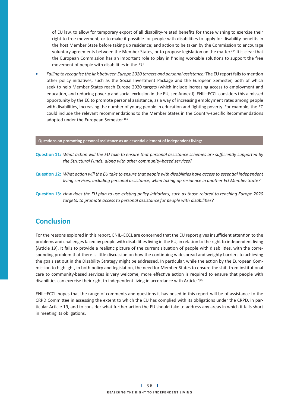of EU law, to allow for temporary export of all disability-related benefits for those wishing to exercise their right to free movement, or to make it possible for people with disabilities to apply for disability-benefits in the host Member State before taking up residence; and action to be taken by the Commission to encourage voluntary agreements between the Member States, or to propose legislation on the matter.<sup>154</sup> It is clear that the European Commission has an important role to play in finding workable solutions to support the free movement of people with disabilities in the EU.

• Failing to recognise the link between Europe 2020 targets and personal assistance: The EU report fails to mention other policy initiatives, such as the Social Investment Package and the European Semester, both of which seek to help Member States reach Europe 2020 targets (which include increasing access to employment and education, and reducing poverty and social exclusion in the EU, see Annex I). ENIL-ECCL considers this a missed opportunity by the EC to promote personal assistance, as a way of increasing employment rates among people with disabilities, increasing the number of young people in education and fighting poverty. For example, the EC could include the relevant recommendations to the Member States in the Country-specific Recommendations adopted under the European Semester.<sup>155</sup>

#### Questions on promoting personal assistance as an essential element of independent living:

- Question 11: What action will the EU take to ensure that personal assistance schemes are sufficiently supported by *the Structural Funds, along with other community-based services?*
- **Question 12:** What action will the EU take to ensure that people with disabilities have access to essential independent *living services, including personal assistance, when taking up residence in another EU Member State?*
- **Question 13:** How does the EU plan to use existing policy initiatives, such as those related to reaching Europe 2020 targets, to promote access to personal assistance for people with disabilities?

## **Conclusion**

For the reasons explored in this report, ENIL-ECCL are concerned that the EU report gives insufficient attention to the problems and challenges faced by people with disabilities living in the EU, in relation to the right to independent living (Article 19). It fails to provide a realistic picture of the current situation of people with disabilities, with the corresponding problem that there is little discussion on how the continuing widespread and weighty barriers to achieving the goals set out in the Disability Strategy might be addressed. In particular, while the action by the European Commission to highlight, in both policy and legislation, the need for Member States to ensure the shift from institutional care to community-based services is very welcome, more effective action is required to ensure that people with disabilities can exercise their right to independent living in accordance with Article 19.

ENIL-ECCL hopes that the range of comments and questions it has posed in this report will be of assistance to the CRPD Committee in assessing the extent to which the EU has complied with its obligations under the CRPD, in particular Article 19, and to consider what further action the EU should take to address any areas in which it falls short in meeting its obligations.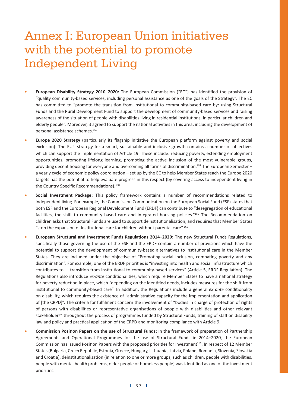# Annex I: European Union initiatives with the potential to promote Independent Living

- **European Disability Strategy 2010–2020:** The European Commission ("EC") has identified the provision of "quality community-based services, including personal assistance as one of the goals of the Strategy". The EC has committed to "promote the transition from institutional to community-based care by: using Structural Funds and the Rural Development Fund to support the development of community-based services and raising awareness of the situation of people with disabilities living in residential institutions, in particular children and elderly people". Moreover, it agreed to support the national activities in this area, including the development of personal assistance schemes.156
- Europe 2020 Strategy (particularly its flagship initiative the European platform against poverty and social exclusion): The EU's strategy for a smart, sustainable and inclusive growth contains a number of objectives which can support the implementation of Article 19. These include: reducing poverty, extending employment opportunities, promoting lifelong learning, promoting the active inclusion of the most vulnerable groups, providing decent housing for everyone and overcoming all forms of discrimination.<sup>157</sup> The European Semester a yearly cycle of economic policy coordination – set up by the EC to help Member States reach the Europe 2020 targets has the potential to help evaluate progress in this respect (by covering access to independent living in the Country Specific Recommendations).<sup>158</sup>
- Social Investment Package: This policy framework contains a number of recommendations related to independent living. For example, the Commission Communication on the European Social Fund (ESF) states that both ESF and the European Regional Development Fund (ERDF) can contribute to "desegregation of educational facilities, the shift to community based care and integrated housing policies."<sup>159</sup> The Recommendation on children asks that Structural Funds are used to support deinstitutionalisation, and requires that Member States "stop the expansion of institutional care for children without parental care".<sup>160</sup>
- European Structural and Investment Funds Regulations 2014–2020: The new Structural Funds Regulations, specifically those governing the use of the ESF and the ERDF contain a number of provisions which have the potential to support the development of community-based alternatives to institutional care in the Member States. They are included under the objective of "Promoting social inclusion, combating poverty and any discrimination". For example, one of the ERDF priorities is "investing into health and social infrastructure which contributes to ... transition from institutional to community-based services" (Article 5, ERDF Regulation). The Regulations also introduce ex-ante conditionalities, which require Member States to have a national strategy for poverty reduction in place, which "depending on the identified needs, includes measures for the shift from institutional to community-based care". In addition, the Regulations include a general ex ante conditionality on disability, which requires the existence of "administrative capacity for the implementation and application of [the CRPD]". The criteria for fulfilment concern the involvement of "bodies in charge of protection of rights of persons with disabilities or representative organisations of people with disabilities and other relevant stakeholders" throughout the process of programmes funded by Structural Funds, training of staff on disability law and policy and practical application of the CRPD and monitoring compliance with Article 9.
- **Commission Position Papers on the use of Structural Funds: In the framework of preparation of Partnership** Agreements and Operational Programmes for the use of Structural Funds in 2014–2020, the European Commission has issued Position Papers with the proposed priorities for investment<sup>161</sup>. In respect of 12 Member States (Bulgaria, Czech Republic, Estonia, Greece, Hungary, Lithuania, Latvia, Poland, Romania, Slovenia, Slovakia and Croatia), deinstitutionalisation (in relation to one or more groups, such as children, people with disabilities, people with mental health problems, older people or homeless people) was identified as one of the investment priorities.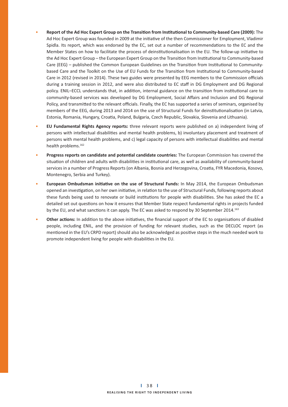- **Report of the Ad Hoc Expert Group on the Transition from Institutional to Community-based Care (2009):** The Ad Hoc Expert Group was founded in 2009 at the initiative of the then Commissioner for Employment, Vladimir Spidla. Its report, which was endorsed by the EC, set out a number of recommendations to the EC and the Member States on how to facilitate the process of deinstitutionalisation in the EU. The follow-up initiative to the Ad Hoc Expert Group – the European Expert Group on the Transition from Institutional to Community-based Care (EEG) - published the Common European Guidelines on the Transition from Institutional to Communitybased Care and the Toolkit on the Use of EU Funds for the Transition from Institutional to Community-based Care in 2012 (revised in 2014). These two guides were presented by EEG members to the Commission officials during a training session in 2012, and were also distributed to EC staff in DG Employment and DG Regional policy. ENIL-ECCL understands that, in addition, internal guidance on the transition from institutional care to community-based services was developed by DG Employment, Social Affairs and Inclusion and DG Regional Policy, and transmitted to the relevant officials. Finally, the EC has supported a series of seminars, organised by members of the EEG, during 2013 and 2014 on the use of Structural Funds for deinstitutionalisation (in Latvia, Estonia, Romania, Hungary, Croatia, Poland, Bulgaria, Czech Republic, Slovakia, Slovenia and Lithuania).
- **EU Fundamental Rights Agency reports:** three relevant reports were published on a) independent living of persons with intellectual disabilities and mental health problems, b) involuntary placement and treatment of persons with mental health problems, and c) legal capacity of persons with intellectual disabilities and mental health problems.162
- **Progress reports on candidate and potential candidate countries:** The European Commission has covered the situation of children and adults with disabilities in institutional care, as well as availability of community-based services in a number of Progress Reports (on Albania, Bosnia and Herzegovina, Croatia, FYR Macedonia, Kosovo, Montenegro, Serbia and Turkey).
- **European Ombudsman initiative on the use of Structural Funds: In May 2014, the European Ombudsman** opened an investigation, on her own initiative, in relation to the use of Structural Funds, following reports about these funds being used to renovate or build institutions for people with disabilities. She has asked the EC a detailed set out questions on how it ensures that Member State respect fundamental rights in projects funded by the EU, and what sanctions it can apply. The EC was asked to respond by 30 September 2014.<sup>163</sup>
- **Other actions:** In addition to the above initiatives, the financial support of the EC to organisations of disabled people, including ENIL, and the provision of funding for relevant studies, such as the DECLOC report (as mentioned in the EU's CRPD report) should also be acknowledged as positive steps in the much needed work to promote independent living for people with disabilities in the EU.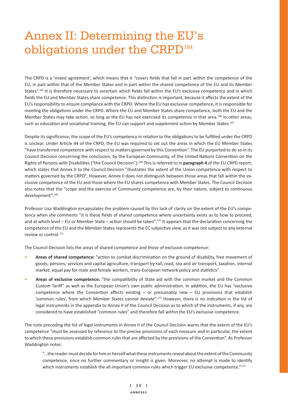# Annex II: Determining the EU's obligations under the CRPD<sup>164</sup>

The CRPD is a 'mixed agreement', which means that it "covers fields that fall in part within the competence of the EU, in part within that of the Member States and in part within the shared competence of the EU and its Member States".<sup>165</sup> It is therefore necessary to ascertain which fields fall within the EU's exclusive competence and in which fields the EU and Member States share competence. This distinction is important, because it affects the extent of the EU's responsibility to ensure compliance with the CRPD. Where the EU has exclusive competence, it is responsible for meeting the obligations under the CRPD. Where the EU and Member States share competence, both the EU and the Member States may take action, so long as the EU has not exercised its competence in that area.<sup>166</sup> In other areas, such as education and vocational training, the EU can support and supplement action by Member States.<sup>167</sup>

Despite its significance, the scope of the EU's competency in relation to the obligations to be fulfilled under the CRPD is unclear. Under Article 44 of the CRPD, the EU was required to set out the areas in which the EU Member States "have transferred competence with respect to matters governed by this Convention". The EU purported to do so in its Council Decision concerning the conclusion, by the European Community, of the United Nations Convention on the Rights of Persons with Disabilities ("the Council Decision").<sup>168</sup> This is referred to in **paragraph 4** of the EU CRPD report, which states that Annex II to the Council Decision "illustrates the extent of the Union competence with respect to matters governed by the CRPD". However, Annex II does not distinguish between those areas that fall within the exclusive competence of the EU and those where the EU shares competence with Member States. The Council Decision also notes that the "scope and the exercise of Community competence are, by their nature, subject to continuous development".169

Professor Lisa Waddington encapsulates the problem caused by this lack of clarity on the extent of the EU's competency when she comments "it is these fields of shared competence where uncertainty exists as to how to proceed, and at which level – EU or Member State – action should be taken".<sup>170</sup> It appears that the declaration concerning the competence of the EU and the Member States represents the EC subjective view, as it was not subject to any external review or control.<sup>171</sup>

The Council Decision lists the areas of shared competence and those of exclusive competence:

- Areas of shared competence: "action to combat discrimination on the ground of disability, free movement of goods, persons, services and capital agriculture, transport by rail, road, sea and air transport, taxation, internal market, equal pay for male and female workers, trans-European network policy and statistics".
- Areas of exclusive competence: "the compatibility of State aid with the common market and the Common Custom Tariff" as well as the European Union's own public administration. In addition, the EU has "exclusive competence where the Convention affects existing  $-$  or presumably new  $-$  EU provisions that establish 'common rules', from which Member States cannot deviate".<sup>172</sup> However, there is no indication in the list of legal instruments in the appendix to Annex II of the Council Decision as to which of the instruments, if any, are considered to have established "common rules" and therefore fall within the EU's exclusive competence.

The note preceding the list of legal instruments in Annex II of the Council Decision warns that the extent of the EU's competence "must be assessed by reference to the precise provisions of each measure and in particular, the extent to which these provisions establish common rules that are affected by the provisions of the Convention". As Professor Waddington notes:

"...the reader must decide for him or herself what these instruments reveal about the extent of the Community competence, since no further commentary or insight is given. Moreover, no attempt is made to identify which instruments establish the all important common rules which trigger EU exclusive competence."<sup>173</sup>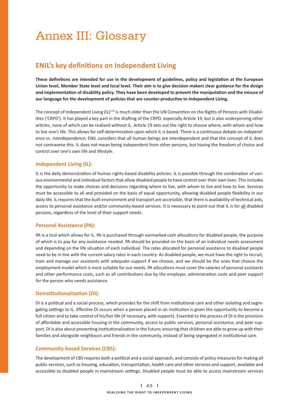# Annex III: Glossary

## **ENIL's key definitions on Independent Living**

These definitions are intended for use in the development of guidelines, policy and legislation at the European **Union level, Member State level and local level. Their aim is to give decision makers clear guidance for the design**  and implementation of disability policy. They have been developed to prevent the manipulation and the misuse of our language for the development of policies that are counter-productive to Independent Living.

The concept of Independent Living (IL)<sup>174</sup> is much older than the UN Convention on the Rights of Persons with Disabilities ('CRPD'). It has played a key part in the drafting of the CRPD, especially Article 19, but is also underpinning other articles, none of which can be realised without IL. Article 19 sets out the right to choose where, with whom and how to live one's life. This allows for self-determination upon which IL is based. There is a continuous debate on *independence* vs. *interdependence*; ENIL considers that all human beings are interdependent and that the concept of IL does not contravene this. IL does not mean being independent from other persons, but having the freedom of choice and control over one's own life and lifestyle.

### **Independent Living (IL):**

IL is the daily demonstration of human rights-based disability policies. IL is possible through the combination of various environmental and individual factors that allow disabled people to have control over their own lives. This includes the opportunity to make choices and decisions regarding where to live, with whom to live and how to live. Services must be accessible to all and provided on the basis of equal opportunity, allowing disabled people flexibility in our daily life. IL requires that the built environment and transport are accessible, that there is availability of technical aids, access to personal assistance and/or community-based services. It is necessary to point out that IL is for all disabled persons, regardless of the level of their support needs.

### **Personal Assistance (PA):**

PA is a tool which allows for IL. PA is purchased through earmarked cash allocations for disabled people, the purpose of which is to pay for any assistance needed. PA should be provided on the basis of an individual needs assessment and depending on the life situation of each individual. The rates allocated for personal assistance to disabled people need to be in line with the current salary rates in each country. As disabled people, we must have the right to recruit, train and manage our assistants with adequate support if we choose, and we should be the ones that choose the employment model which is most suitable for our needs. PA allocations must cover the salaries of personal assistants and other performance costs, such as all contributions due by the employer, administration costs and peer support for the person who needs assistance.

### **Deinstitutionalization (DI):**

DI is a political and a social process, which provides for the shift from institutional care and other isolating and segregating settings to IL. Effective DI occurs when a person placed in an institution is given the opportunity to become a full citizen and to take control of his/her life (if necessary, with support). Essential to the process of DI is the provision of affordable and accessible housing in the community, access to public services, personal assistance, and peer support. DI is also about preventing institutionalization in the future; ensuring that children are able to grow up with their families and alongside neighbours and friends in the community, instead of being segregated in institutional care.

### **Community-based Services (CBS):**

The development of CBS requires both a political and a social approach, and consists of policy measures for making all public services, such as housing, education, transportation, health care and other services and support, available and accessible to disabled people in mainstream settings. Disabled people must be able to access mainstream services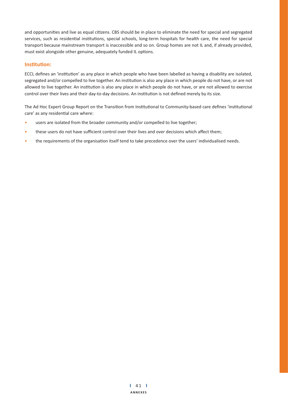and opportunities and live as equal citizens. CBS should be in place to eliminate the need for special and segregated services, such as residential institutions, special schools, long-term hospitals for health care, the need for special transport because mainstream transport is inaccessible and so on. Group homes are not IL and, if already provided, must exist alongside other genuine, adequately funded IL options.

## $l$ nstitution:

ECCL defines an 'institution' as any place in which people who have been labelled as having a disability are isolated, segregated and/or compelled to live together. An institution is also any place in which people do not have, or are not allowed to live together. An institution is also any place in which people do not have, or are not allowed to exercise control over their lives and their day-to-day decisions. An institution is not defined merely by its size.

The Ad Hoc Expert Group Report on the Transition from Institutional to Community-based care defines 'institutional care' as any residential care where:

- users are isolated from the broader community and/or compelled to live together;
- these users do not have sufficient control over their lives and over decisions which affect them;
- the requirements of the organisation itself tend to take precedence over the users' individualised needs.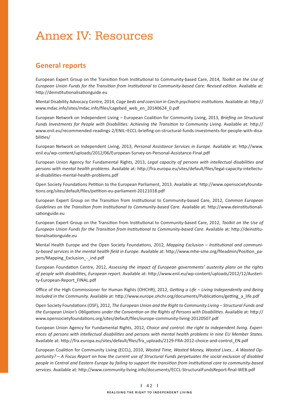# Annex IV: Resources

## **General reports**

European Expert Group on the Transition from Institutional to Community-based Care, 2014, *Toolkit on the Use of* European Union Funds for the Transition from Institutional to Community-based Care: Revised edition. Available at: http://deinstitutionalisationguide.eu

Mental Disability Advocacy Centre, 2014, *Cage beds and coercion in Czech psychiatric institutions.* Available at: http:// www.mdac.info/sites/mdac.info/files/cagebed web en 20140624 0.pdf

European Network on Independent Living - European Coalition for Community Living, 2013, Briefing on Structural Funds Investments for People with Disabilities: Achieving the Transition to Community Living. Available at: http:// www.enil.eu/recommended-readings-2/ENIL–ECCL-briefing-on-structural-funds-investments-for-people-with-disabilities/

European Network on Independent Living, 2013, *Personal Assistance Services in Europe.* Available at: h p://www. enil.eu/wp-content/uploads/2012/06/European-Survey-on-Personal-Assistance-Final.pdf

European Union Agency for Fundamental Rights, 2013, Legal capacity of persons with intellectual disabilities and persons with mental health problems. Available at: http://fra.europa.eu/sites/default/files/legal-capacity-intellectual-disabilities-mental-health-problems.pdf

Open Society Foundations Petition to the European Parliament, 2013. Available at: http://www.opensocietyfoundations.org/sites/default/files/petition-eu-parliament-20121018.pdf

European Expert Group on the Transition from Institutional to Community-based Care, 2012, Common European Guidelines on the Transition from Institutional to Community-based Care. Available at: http://www.deinstitutionalisationguide.eu

European Expert Group on the Transition from Institutional to Community-based Care, 2012, *Toolkit on the Use of* European Union Funds for the Transition from Institutional to Community-based Care. Available at: http://deinstitutionalisationguide.eu

Mental Health Europe and the Open Society Foundations, 2012, Mapping Exclusion - Institutional and communi*ty-based services in the mental health field in Europe.* Available at: http://www.mhe-sme.org/fileadmin/Position\_papers/Mapping Exclusion - ind.pdf

European Foundation Centre, 2012, Assessing the impact of European governments' austerity plans on the rights of people with disabilities, European report. Available at: http://www.enil.eu/wp-content/uploads/2012/12/Austerity-European-Report\_FINAL.pdf

Office of the High Commissioner for Human Rights (OHCHR), 2012, *Getting a Life – Living Independently and Being* Included in the Community. Available at: http://www.europe.ohchr.org/documents/Publications/getting\_a\_life.pdf

Open Society Foundations (OSF), 2012, *The European Union and the Right to Community Living - Structural Funds and* the European Union's Obligations under the Convention on the Rights of Persons with Disabilities. Available at: http:// www.opensocietyfoundations.org/sites/default/files/europe-community-living-20120507.pdf

European Union Agency for Fundamental Rights, 2012, *Choice and control: the right to independent living. Experi*ences of persons with intellectual disabilities and persons with mental health problems in nine EU Member States. Available at: http://fra.europa.eu/sites/default/files/fra\_uploads/2129-FRA-2012-choice-and-control\_EN.pdf

European Coalition for Community Living (ECCL), 2010, Wasted Time, Wasted Money, Wasted Lives... A Wasted Op*portunity? – A Focus Report on how the current use of Structural Funds perpetuates the social exclusion of disabled people in Central and Eastern Europe by failing to support the transition from institutional care to community-based* services. Available at: http://www.community-living.info/documents/ECCL-StructuralFundsReport-final-WEB.pdf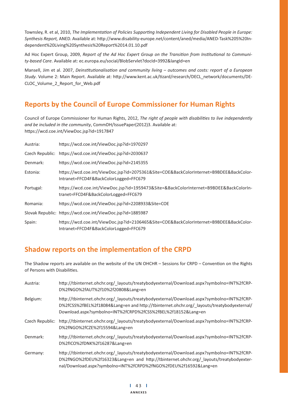Townsley, R. et al, 2010, The Implementation of Policies Supporting Independent Living for Disabled People in Europe:  $Synthesis$  Report, ANED. Available at: http://www.disability-europe.net/content/aned/media/ANED-Task%205%20Independent%20Living%20Synthesis%20Report%2014.01.10.pdf

Ad Hoc Expert Group, 2009, Report of the Ad Hoc Expert Group on the Transition from Institutional to Communi*ty-based Care*. Available at: ec.europa.eu/social/BlobServlet?docId=3992&langId=en

Mansell, Jim et al. 2007, *Deinstitutionalisation and community living - outcomes and costs: report of a European* Study. Volume 2: Main Report. Available at: http://www.kent.ac.uk/tizard/research/DECL\_network/documents/DE-CLOC\_Volume\_2\_Report\_for\_Web.pdf

## **Reports by the Council of Europe Commissioner for Human Rights**

Council of Europe Commissioner for Human Rights, 2012, The right of people with disabilities to live independently *and be included in the community*, CommDH/IssuePaper(2012)3. Available at: https://wcd.coe.int/ViewDoc.jsp?id=1917847

| Austria:  | https://wcd.coe.int/ViewDoc.jsp?id=1970297                                                                                        |
|-----------|-----------------------------------------------------------------------------------------------------------------------------------|
|           | Czech Republic: https://wcd.coe.int/ViewDoc.jsp?id=2030637                                                                        |
| Denmark:  | https://wcd.coe.int/ViewDoc.jsp?id=2145355                                                                                        |
| Estonia:  | https://wcd.coe.int/ViewDoc.jsp?id=2075361&Site=COE&BackColorInternet=B9BDEE&BackColor-<br>Intranet=FFCD4F&BackColorLogged=FFC679 |
| Portugal: | https://wcd.coe.int/ViewDoc.jsp?id=1959473&Site=&BackColorInternet=B9BDEE&BackColorIn-<br>tranet=FFCD4F&BackColorLogged=FFC679    |
| Romania:  | https://wcd.coe.int/ViewDoc.jsp?id=2208933&Site=COE                                                                               |
|           | Slovak Republic: https://wcd.coe.int/ViewDoc.jsp?id=1885987                                                                       |
| Spain:    | https://wcd.coe.int/ViewDoc.jsp?id=2106465&Site=COE&BackColorInternet=B9BDEE&BackColor-<br>Intranet=FFCD4F&BackColorLogged=FFC679 |

# **Shadow reports on the implementation of the CRPD**

The Shadow reports are available on the website of the UN OHCHR - Sessions for CRPD - Convention on the Rights of Persons with Disabilities.

| Austria:        | http://tbinternet.ohchr.org/ layouts/treatybodyexternal/Download.aspx?symbolno=INT%2fCRP-<br>D%2fNGO%2fAUT%2f10%2f20808⟪=en                                                                                                                       |
|-----------------|---------------------------------------------------------------------------------------------------------------------------------------------------------------------------------------------------------------------------------------------------|
| Belgium:        | http://tbinternet.ohchr.org/ layouts/treatybodyexternal/Download.aspx?symbolno=INT%2fCRP-<br>D%2fCSS%2fBEL%2f18084⟪=en and http://tbinternet.ohchr.org/ layouts/treatybodyexternal/<br>Download.aspx?symbolno=INT%2fCRPD%2fCSS%2fBEL%2f18152⟪=en  |
| Czech Republic: | http://tbinternet.ohchr.org/ layouts/treatybodyexternal/Download.aspx?symbolno=INT%2fCRP-<br>D%2fNGO%2fCZE%2f15594⟪=en                                                                                                                            |
| Denmark:        | http://tbinternet.ohchr.org/ layouts/treatybodyexternal/Download.aspx?symbolno=INT%2fCRP-<br>D%2fICO%2fDNK%2f16287⟪=en                                                                                                                            |
| Germany:        | http://tbinternet.ohchr.org/ layouts/treatybodyexternal/Download.aspx?symbolno=INT%2fCRP-<br>D%2fNGO%2fDEU%2f16323⟪=en and http://tbinternet.ohchr.org/ layouts/treatybodyexter-<br>nal/Download.aspx?symbolno=INT%2fCRPD%2fNGO%2fDEU%2f16592⟪=en |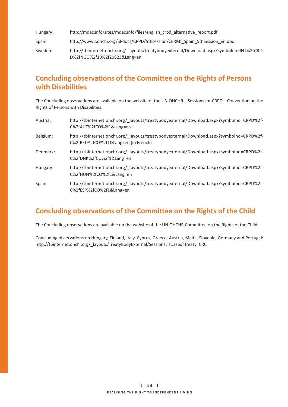Hungary: http://mdac.info/sites/mdac.info/files/english\_crpd\_alternative\_report.pdf

Spain: http://www2.ohchr.org/SPdocs/CRPD/5thsession/CERMI\_Spain\_5thSession\_en.doc

Sweden: http://tbinternet.ohchr.org/ layouts/treatybodyexternal/Download.aspx?symbolno=INT%2fCRP-D%2fNGO%2f10%2f20823&Lang=en

## **Concluding observations of the Committee on the Rights of Persons with Disabilities**

The Concluding observations are available on the website of the UN OHCHR - Sessions for CRPD - Convention on the Rights of Persons with Disabilities.

| Austria: | http://tbinternet.ohchr.org/ layouts/treatybodyexternal/Download.aspx?symbolno=CRPD%2f-<br>C%2fAUT%2fCO%2f1⟪=en             |
|----------|-----------------------------------------------------------------------------------------------------------------------------|
| Belgium: | http://tbinternet.ohchr.org/ layouts/treatybodyexternal/Download.aspx?symbolno=CRPD%2f-<br>C%2fBEL%2fCO%2f1⟪=en (in French) |
| Denmark: | http://tbinternet.ohchr.org/ layouts/treatybodyexternal/Download.aspx?symbolno=CRPD%2f-<br>C%2fDNK%2fCO%2f1⟪=en             |
| Hungary: | http://tbinternet.ohchr.org/ layouts/treatybodyexternal/Download.aspx?symbolno=CRPD%2f-<br>C%2fHUN%2fCO%2f1⟪=en             |
| Spain:   | http://tbinternet.ohchr.org/ layouts/treatybodyexternal/Download.aspx?symbolno=CRPD%2f-<br>C%2fESP%2fCO%2f1⟪=en             |

## **Concluding observations of the Committee on the Rights of the Child**

The Concluding observations are available on the website of the UN OHCHR Committee on the Rights of the Child.

Concluding observations on Hungary, Finland, Italy, Cyprus, Greece, Austria, Malta, Slovenia, Germany and Portugal: http://tbinternet.ohchr.org/\_layouts/TreatyBodyExternal/SessionsList.aspx?Treaty=CRC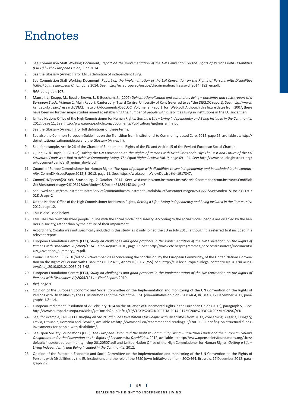# Endnotes

- 1. See Commission Staff Working Document, Report on the implementation of the UN Convention on the Rights of Persons with Disabilities *(CRPD) by the European Union*, June 2014.
- 2. See the Glossary (Annex III) for ENIL's definition of independent living.
- 3. See Commission Staff Working Document, Report on the implementation of the UN Convention on the Rights of Persons with Disabilities (CRPD) by the European Union, June 2014. See: http://ec.europa.eu/justice/discrimination/files/swd\_2014\_182\_en.pdf.
- 4. *Ibid*, paragraph 107.
- 5. Mansell, J., Knapp, M., Beadle-Brown, J., & Beecham, J., (2007) *Deinstitutionalisation and community living outcomes and costs: report of a European Study. Volume 2*: Main Report. Canterbury: Tizard Centre, University of Kent (referred to as "the DECLOC report). See: http://www. kent.ac.uk/tizard/research/DECL\_network/documents/DECLOC\_Volume\_2\_Report\_for\_Web.pdf. Although this figure dates from 2007, there have been no further major studies aimed at establishing the number of people with disabilities living in institutions in the EU since then.
- 6. United Nations Office of the High Commissioner for Human Rights, Getting a Life Living Independently and Being Included in the Community, 2012, page 11. See: http://www.europe.ohchr.org/documents/Publications/getting\_a\_life.pdf.
- 7. See the Glossary (Annex III) for full definitions of these terms.
- 8. See also the Common European Guidelines on the Transition from Institutional to Community-based Care, 2012, page 25, available at: http:// deinstitutionalisationguide.eu and the Glossary (Annex III).
- 9. See, for example, Article 26 of the Charter of Fundamental Rights of the EU and Article 15 of the Revised European Social Charter.
- 10. Quinn, G. & Doyle, S. (2012a). Taking the UN Convention on the Rights of Persons with Disabilities Seriously: The Past and Future of the EU Structural Funds as a Tool to Achieve Community Living. The Equal Rights Review, Vol. 9, page 69 - 94. See: http://www.equalrightstrust.org/ ertdocumentbank/err9\_quinn\_doyle.pdf.
- 11. Council of Europe Commissioner for Human Rights, The right of people with disabilities to live independently and be included in the community, CommDH/IssuePaper(2012)3, 2012, page 11. See: https://wcd.coe.int/ViewDoc.jsp?id=1917847.
- 12. CommDH/Speech(2014)9, Strasbourg, 2 October 2014. See: wcd.coe.int/com.instranet.InstraServlet?command=com.instranet.CmdBlob Get&InstranetImage=2610517&SecMode=1&DocId=2188914&Usage=2
- 13. See: wcd.coe.int/com.instranet.InstraServlet?command=com.instranet.CmdBlobGet&InstranetImage=2503663&SecMode=1&DocId=21307 02&Usage=2
- 14. United Nations Office of the High Commissioner for Human Rights, Getting a Life Living Independently and Being Included in the Community, 2012, page 12.
- 15. This is discussed below.
- 16. ENIL uses the term 'disabled people' in line with the social model of disability. According to the social model, people are disabled by the barriers in society, rather than by the nature of their impairment.
- 17. Accordingly, Croatia was not specifically included in this study, as it only joined the EU in July 2013, although it is referred to if included in a relevant report.
- 18. European Foundation Centre (EFC), Study on challenges and good practices in the implementation of the UN Convention on the Rights of Persons with Disabilities VC/2008/1214 – Final Report, 2010, page 33. See: http://www.efc.be/programmes\_services/resources/Documents/ UN\_Covention\_Summary\_EN.pdf.
- 19. Council Decision (EC) 2010/48 of 26 November 2009 concerning the conclusion, by the European Community, of the United Nations Convention on the Rights of Persons with Disabilities OJ I 23/35, Annex II (OJ L 23/55). See: http://eur-lex.europa.eu/legal-content/EN/TXT/?uri=uriserv:OJ.L\_.2010.023.01.0035.01.ENG.
- 20. European Foundation Centre (EFC), Study on challenges and good practices in the implementation of the UN Convention on the Rights of Persons with Disabilities VC/2008/1214 - Final Report, 2010.
- 21. *Ibid,* page 9.
- 22. Opinion of the European Economic and Social Committee on the Implementation and monitoring of the UN Convention on the Rights of Persons with Disabilities by the EU institutions and the role of the EESC (own-initiative opinion), SOC/464, Brussels, 12 December 2012, paragraphs 1.2–1.4.
- 23. European Parliament Resolution of 27 February 2014 on the situation of fundamental rights in the European Union (2012), paragraph 51. See: http://www.europarl.europa.eu/sides/getDoc.do?pubRef=-//EP//TEXT%20TA%20P7-TA-2014-0173%200%20DOC%20XML%20V0//EN.
- 24. See, for example, ENIL-ECCL Briefing on Structural Funds Investments for People with Disabilities from 2013, concerning Bulgaria, Hungary, Latvia, Lithuania, Romania and Slovakia; available at: http://www.enil.eu/recommended-readings-2/ENIL-ECCL-briefing-on-structural-fundsinvestments-for-people-with-disabilities/.
- 25. See Open Society Foundations (OSF), The European Union and the Right to Community Living Structural Funds and the European Union's Obligations under the Convention on the Rights of Persons with Disabilities, 2012, available at: http://www.opensocietyfoundations.org/sites/ default/files/europe-community-living-20120507.pdf and United Nation Office of the High Commissioner for Human Rights, Getting a Life – *Living Independently and Being Included in the Community,* 2012.
- 26. Opinion of the European Economic and Social Committee on the Implementation and monitoring of the UN Convention on the Rights of Persons with Disabilities by the EU institutions and the role of the EESC (own-initiative opinion), SOC/464, Brussels, 12 December 2012, paragraph 2.2.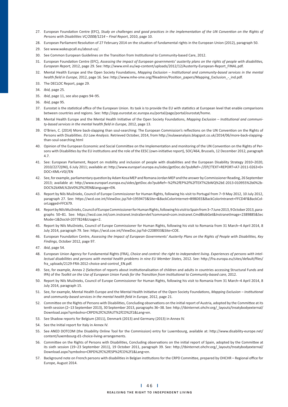- 27. European Foundation Centre (EFC), Study on challenges and good practices in the implementation of the UN Convention on the Rights of Persons with Disabilities VC/2008/1214 - Final Report, 2010, page 10.
- 28. European Parliament Resolution of 27 February 2014 on the situation of fundamental rights in the European Union (2012), paragraph 50.
- 29. See www.wakeupcall.eu/about-us/.
- 30. See Common European Guidelines on the Transition from Institutional to Community-based Care, 2012.
- 31. European Foundation Centre (EFC), Assessing the impact of European governments' austerity plans on the rights of people with disabilities, *European Report, 2012, page 29. See: http://www.enil.eu/wp-content/uploads/2012/12/Austerity-European-Report FINAL.pdf.*
- 32. Mental Health Europe and the Open Society Foundations, Mapping Exclusion Institutional and community-based services in the mental health field in Europe, 2012, page 16. See: http://www.mhe-sme.org/fileadmin/Position\_papers/Mapping\_Exclusion\_-\_ind.pdf.
- 33. The DECLOC Report, page 29.
- 34. *Ibid,* page 25.
- 35. *Ibid*, page 11, see also pages 94–95.
- 36. *Ibid,* page 95.
- 37. Eurostat is the statistical office of the European Union. Its task is to provide the EU with statistics at European level that enable comparisons between countries and regions. See: http://epp.eurostat.ec.europa.eu/portal/page/portal/eurostat/home.
- 38. Mental Health Europe and the Mental Health Initiative of the Open Society Foundations, Mapping Exclusion Institutional and community-based services in the mental health field in Europe, 2012, page 13.
- 39. O'Brien, C. (2014) More back-slapping than soul-searching: The European Commission's reflections on the UN Convention on the Rights of Persons with Disabilities. EU Law Analysis. Retrieved October, 2014, from http://eulawanalysis.blogspot.co.uk/2014/06/more-back-slappingthan-soul-searching.html
- 40. Opinion of the European Economic and Social Committee on the Implementation and monitoring of the UN Convention on the Rights of Persons with Disabilities by the EU institutions and the role of the EESC (own-initiative report), SOC/464, Brussels, 12 December 2012, paragraph 4.7.
- 41. See: European Parliament, Report on mobility and inclusion of people with disabilities and the European Disability Strategy 2010–2020, 2010/2272(INI), 6 July 2011; available at: http://www.europarl.europa.eu/sides/getDoc.do?pubRef=-//EP//TEXT+REPORT+A7-2011-0263+0+ DOC+XML+V0//EN
- 42. See, for example, parliamentary question by Adam Kosa MEP and Romana Jordan MEP and the answer by Commissioner Reading, 26 September 2013; available at: http://www.europarl.europa.eu/sides/getDoc.do?pubRef=-%2f%2fEP%2f%2fTEXT%2bWQ%2bE-2013-010955%2b0%2b-DOC%2bXML%2bV0%2f%2fEN&language=EN.
- 43. Report by Nils Muižnieks, Council of Europe Commissioner for Human Rights, following his visit to Portugal from 7–9 May 2012, 10 July 2012, paragraph 27. See: https://wcd.coe.int/ViewDoc.jsp?id=1959473&Site=&BackColorInternet=B9BDEE&BackColorIntranet=FFCD4F&BackColorLogged=FFC679.
- 44. Report by Nils Muižnieks, Council of Europe Commissioner for Human Rights, following his visit to Spain from 3–7 June 2013, 9 October 2013, paragraphs 50–81. See: https://wcd.coe.int/com.instranet.InstraServlet?command=com.instranet.CmdBlobGet&InstranetImage=2389885&Sec Mode=1&DocId=2077824&Usage=2.
- 45. Report by Nils Muižnieks, Council of Europe Commissioner for Human Rights, following his visit to Romania from 31 March–4 April 2014, 8 July 2014, paragraph 79. See: https://wcd.coe.int/ViewDoc.jsp?id=2208933&Site=COE
- 46. European Foundation Centre, Assessing the Impact of European Governments' Austerity Plans on the Rights of People with Disabilities, Key *Findings,* October 2012, page 97.
- 47. *Ibid*, page 54.
- 48. European Union Agency for Fundamental Rights (FRA), *Choice and control: the right to independent living. Experiences of persons with intel*lectual disabilities and persons with mental health problems in nine EU Member States, 2012. See: http://fra.europa.eu/sites/default/files/ fra\_uploads/2129-FRA-2012-choice-and-control\_EN.pdf.
- 49. See, for example, Annex 2 (Selection of reports about institutionalisation of children and adults in countries accessing Structural Funds and IPA) of the *Toolkit on the Use of European Union Funds for the Transition from Institutional to Community-based care, 2012.*
- 50. Report by Nils Muižnieks, Council of Europe Commissioner for Human Rights, following his visit to Romania from 31 March–4 April 2014, 8 July 2014, paragraph 15.
- 51. See, for example, Mental Health Europe and the Mental Health Initiative of the Open Society Foundations, Mapping Exclusion Institutional and community-based services in the mental health field in Europe, 2012, page 21.
- 52. Committee on the Rights of Persons with Disabilities, Concluding observations on the initial report of Austria, adopted by the Committee at its tenth session (2-13 September 2013), 30 September 2013, paragraphs 36-38. See: http://tbinternet.ohchr.org/\_layouts/treatybodyexternal/ Download.aspx?symbolno=CRPD%2fC%2fAUT%2fCO%2f1&Lang=en.
- 53. See Shadow reports for Belgium (2011), Denmark (2013) and Germany (2013) in Annex IV.
- 54. See the Initial report for Italy in Annex IV.
- 55. See ANED DOTCOM (the Disability Online Tool for the Commission) entry for Luxembourg, available at: http://www.disability-europe.net/ content/luxembourg-d1-choice-living-arrangements.
- 56. Committee on the Rights of Persons with Disabilities, Concluding observations on the initial report of Spain, adopted by the Committee at its sixth session (19-23 September 2011), 19 October 2011, paragraph 39. See: http://tbinternet.ohchr.org/\_layouts/treatybodyexternal/ Download.aspx?symbolno=CRPD%2fC%2fESP%2fCO%2f1&Lang=en.
- 57. Background note on French persons with disabilities in Belgian institutions for the CRPD Committee, prepared by OHCHR Regional office for Europe, August 2014.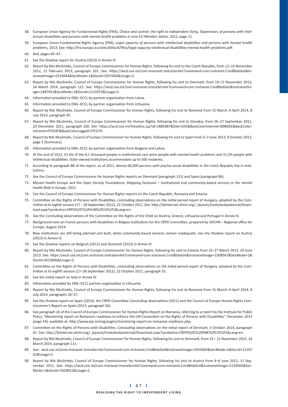- 58. European Union Agency for Fundamental Rights (FRA), *Choice and control: the right to independent living. Experiences of persons with intel*lectual disabilities and persons with mental health problems in nine EU Member States, 2012, page 11.
- 59. European Union Fundamental Rights Agency (FRA), Legal capacity of persons with intellectual disabilities and persons with mental health problems, 2013. See: http://fra.europa.eu/sites/default/files/legal-capacity-intellectual-disabilities-mental-health-problems.pdf.
- 60. *Ibid,* pages 45–47.
- 61. See the Shadow report for Austria (2013) in Annex IV.
- 62. Report by Nils Muižnieks, Council of Europe Commissioner for Human Rights, following his visit to the Czech Republic, from 12–15 November 2012, 21 February 2013, paragraph 101. See: https://wcd.coe.int/com.instranet.InstraServlet?command=com.instranet.CmdBlobGet&InstranetImage=2324044&SecMode=1&DocId=2037440&Usage=2.
- 63. Report by Nils Muižnieks, Council of Europe Commissioner for Human Rights, following his visit to Denmark, from 19–21 November 2013, 24 March 2014, paragraph 122. See: https://wcd.coe.int/com.instranet.InstraServlet?command=com.instranet.CmdBlobGet&InstranetImage=2487451&SecMode=1&DocId=2121972&Usage=2.
- 64. Information provided to ENIL-ECCL by partner organisation from Latvia.
- 65. Information provided to ENIL-ECCL by partner organisation from Lithuania.
- 66. Report by Nils Muižnieks, Council of Europe Commissioner for Human Rights, following his visit to Romania from 31 March–4 April 2014, 8 July 2014, paragraph 45.
- 67. Report by Nils Muižnieks, Council of Europe Commissioner for Human Rights, following his visit to Slovakia, from 26–27 September 2011, 20 December 2011, paragraph 100. See: https://wcd.coe.int/ViewDoc.jsp?id=1885987&Site=COE&BackColorInternet=B9BDEE&BackColor-Intranet=FFCD4F&BackColorLogged=FFC679.
- 68. Report by Nils Muižnieks, Council of Europe Commissioner for Human Rights, following his visit to Spain from 3–7 June 2013, 9 October 2013, page 2 (Summary).
- 69. Information provided to ENIL-ECCL by partner organisation from Bulgaria and Latvia.
- 70. At the end of 2012, 51.6% of the 6,1 thousand people in institutional care were people with mental health problems and 31,5% people with intellectual disabilities. State-owned institutions accommodate up to 500 residents.
- 71. According to paragraph 88 of the report, as of 2011, almost 60,000 persons with psycho-social disabilities in the Czech Republic live in institutions.
- 72. See the Council of Europe Commissioner for Human Rights reports on Denmark (paragraph 131) and Spain (paragraph 86).
- 73. Mental Health Europe and the Open Society Foundations, Mapping Exclusion Institutional and community-based services in the mental *health field in Europe*, 2012.
- 74. See the Council of Europe Commissioner for Human Rights reports on the Czech Republic, Romania and Estonia.
- 75. Committee on the Rights of Persons with Disabilities, concluding observations on the initial period report of Hungary, adopted by the Committee at its eighth session (17 – 28 September 2012), 22 October 2012. See: http://tbinternet.ohchr.org/ layouts/treatybodyexternal/Download.aspx?symbolno=CRPD%2fC%2fHUN%2fCO%2f1&Lang=en.
- 76. See the Concluding observations of the Committee on the Rights of the Child on Austria, Greece, Lithuania and Portugal in Annex IV.
- 77. Background note on French persons with disabilities in Belgian institutions for the CRPD Committee, prepared by OHCHR Regional office for Europe, August 2014.
- 78. New institutions are still being planned and built, while community-based services remain inadequate. See the Shadow report on Austria (2013) in Annex IV.
- 79. See the Shadow reports on Belgium (2011) and Denmark (2013) in Annex IV.
- 80. Report by Nils Muižnieks, Council of Europe Commissioner for Human Rights, following his visit to Estonia from 25–27 March 2013, 20 June 2013. See: https://wcd.coe.int/com.instranet.InstraServlet?command=com.instranet.CmdBlobGet&InstranetImage=2308567&SecMode=1& DocId=2023896&Usage=2.
- 81. Committee on the Rights of Persons with Disabilities, concluding observations on the initial period report of Hungary, adopted by the Committee at its eighth session (17-28 September 2012), 22 October 2012, paragraph 33.
- 82. See the Initial report on Italy in Annex IV.
- 83. Information provided by ENIL-ECCL partner organisation in Lithuania.
- 84. Report by Nils Muižnieks, Council of Europe Commissioner for Human Rights, following his visit to Romania from 31 March–4 April 2014, 8 July 2014, paragraphs 26–27.
- 85. See the Shadow report on Spain (2010), the CRPD Committee Concluding observations (2011) and the Council of Europe Human Rights Commissioner's Report on Spain (2013, paragraph 56).
- 86. See paragraph 26 of the Council of Europe Commissioner for Human Rights Report on Romania, referring to a report by the Institute for Public Policy, "Monitoring report on Romania's readiness to enforce the UN Convention on the Rights of Persons with Disabilities", December 2013 (page 14); available at: http://www.ipp.ro/eng/pagini/monitoring-report-on-romanias-readiness.php.
- 87. Committee on the Rights of Persons with Disabilities, Concluding observations on the initial report of Denmark, 3 October 2014, paragraph 42. See: http://tbinternet.ohchr.org/\_layouts/treatybodyexternal/Download.aspx?symbolno=CRPD%2fC%2fDNK%2fCO%2f1&Lang=en.
- 88. Report by Nils Muižnieks, Council of Europe Commissioner for Human Rights, following his visit to Denmark, from 19 21 November 2013, 24 March 2014, paragraph 111.
- 89. See: wcd.coe.int/com.instranet.InstraServlet?command=com.instranet.CmdBlobGet&InstranetImage=2503663&SecMode=1&DocId=21307 02&Usage=2.
- 90. Report by Nils Muižnieks, Council of Europe Commissioner for Human Rights, following his visit to Austria from 4–6 June 2012, 11 September 2012. See: https://wcd.coe.int/com.instranet.InstraServlet?command=com.instranet.CmdBlobGet&InstranetImage=2139565&Sec-Mode=1&DocId=1924052&Usage=2.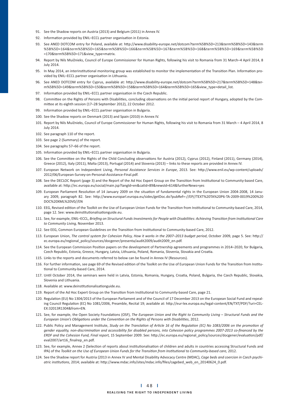- 91. See the Shadow reports on Austria (2013) and Belgium (2011) in Annex IV.
- 92. Information provided by ENIL-ECCL partner organisation in Estonia.
- 93. See ANED DOTCOM entry for Poland, available at: http://www.disability-europe.net/dotcom?term%5B%5D=213&term%5B%5D=143&term %5B%5D=164&term%5B%5D=165&term%5B%5D=166&term%5B%5D=167&term%5B%5D=168&term%5B%5D=169&term%5B%5D =170&term%5B%5D=171&view\_type=matrix.
- 94. Report by Nils Muižnieks, Council of Europe Commissioner for Human Rights, following his visit to Romania from 31 March–4 April 2014, 8 July 2014.
- 95. In May 2014, an interinstitutional monitoring group was established to monitor the implementation of the Transition Plan. Information provided by ENIL-ECCL partner organisation in Lithuania.
- 96. See ANED DOTCOM entry for Cyprus, available at: http://www.disability-europe.net/dotcom?term%5B%5D=217&term%5B%5D=148&term%5B%5D=149&term%5B%5D=150&term%5B%5D=158&term%5B%5D=164&term%5B%5D=165&view\_type=detail\_list.
- 97. Information provided by ENIL-ECCL partner organisation in the Czech Republic.
- 98. Committee on the Rights of Persons with Disabilities, concluding observations on the initial period report of Hungary, adopted by the Committee at its eighth session (17–28 September 2012), 22 October 2012.
- 99. Information provided by ENIL-ECCL partner organisation in Bulgaria.
- 100. See the Shadow reports on Denmark (2013) and Spain (2010) in Annex IV.
- 101. Report by Nils Muižnieks, Council of Europe Commissioner for Human Rights, following his visit to Romania from 31 March 4 April 2014, 8 July 2014.
- 102. See paragraph 110 of the report.
- 103. See page 2 (Summary) of the report.
- 104. See paragraphs 57–66 of the report.
- 105. Information provided by ENIL-ECCL partner organisation in Bulgaria.
- 106. See the Committee on the Rights of the Child Concluding observations for Austria (2012), Cyprus (2012), Finland (2011), Germany (2014), Greece (2012), Italy (2011), Malta (2013), Portugal (2014) and Slovenia (2013) – links to these reports are provided in Annex IV.
- 107. European Network on Independent Living, Personal Assistance Services in Europe, 2013. See: http://www.enil.eu/wp-content/uploads/ 2012/06/European-Survey-on-Personal-Assistance-Final.pdf.
- 108. See the DECLOC Report (page 3) and the Report of the Ad Hoc Expert Group on the Transition from Institutional to Community-based Care, available at: http://ec.europa.eu/social/main.jsp?langId=en&catId=89&newsId=614&furtherNews=yes
- 109. European Parliament Resolution of 14 January 2009 on the situation of fundamental rights in the European Union 2004-2008, 14 January 2009, paragraph 82. See: http://www.europarl.europa.eu/sides/getDoc.do?pubRef=-//EP//TEXT%20TA%20P6-TA-2009-0019%200%20 DOC%20XML%20V0//EN
- 110. EEG, Revised edition of the Toolkit on the Use of European Union Funds for the Transition from Institutional to Community-based Care, 2014, page 12. See: www.deinstitutionalisationguide.eu.
- 111. See, for example, ENIL-ECCL, Briefing on Structural Funds Investments for People with Disabilities: Achieving Transition from Institutional Care *to Community Living,* November 2013.
- 112. See EEG, Common European Guidelines on the Transition from Institutional to Community-based Care, 2012.
- 113. European Union, *The control system for Cohesion Policy, How it works in the 2007–2013 budget period*, October 2009, page 5. See: http:// ec.europa.eu/regional\_policy/sources/docgener/presenta/audit2009/audit2009\_en.pdf.
- 114. See the European Commission Position papers on the development of Partnership agreements and programmes in 2014–2020, for Bulgaria, Czech Republic, Estonia, Greece, Hungary, Latvia, Lithuania, Poland, Romania, Slovenia, Slovakia and Croatia.
- 115. Links to the reports and documents referred to below can be found in Annex IV (Resources).
- 116. For further information, see page 69 of the Revised edition of the Toolkit on the Use of European Union Funds for the Transition from Institutional to Community-based Care, 2014.
- 117. Until October 2014, the seminars were held in Latvia, Estonia, Romania, Hungary, Croatia, Poland, Bulgaria, the Czech Republic, Slovakia, Slovenia and Lithuania.
- 118. Available at: www.deinstitutionalisationguide.eu.
- 119. Report of the Ad Hoc Expert Group on the Transition from Institutional to Community-based Care, page 21.
- 120. Regulation (EU) No 1304/2013 of the European Parliament and of the Council of 17 December 2013 on the European Social Fund and repealing Council Regulation (EC) No 1081/2006, Preamble, Recital 19; available at: http://eur-lex.europa.eu/legal-content/EN/TXT/PDF/?uri=CEL-EX:32013R1304&from=EN.
- 121. See, for example, the Open Society Foundations (OSF), The European Union and the Right to Community Living Structural Funds and the European Union's Obligations under the Convention on the Rights of Persons with Disabilities, 2012.
- 122. Public Policy and Management Institute, Study on the Translation of Article 16 of the Regulation (EC) No 1083/2006 on the promotion of gender equality, non-discrimination and accessibility for disabled persons, into Cohesion policy programmes 2007-2013 co-financed by the ERDF and the Cohesion Fund, Final report, 15 September 2009. See: http://ec.europa.eu/regional\_policy/sources/docgener/evaluation/pdf/ eval2007/art16 finalrep\_en.pdf.
- 123. See, for example, Annex 2 (Selection of reports about institutionalisation of children and adults in countries accessing Structural Funds and IPA) of the *Toolkit on the Use of European Union Funds for the Transition from Institutional to Community-based care, 2012.*
- 124. See the Shadow report for Austria (2013 in Annex IV and Mental Disability Advocacy Centre (MDAC), *Cage beds and coercion in Czech psychi*atric institutions, 2014; available at: http://www.mdac.info/sites/mdac.info/files/cagebed\_web\_en\_20140624\_0.pdf.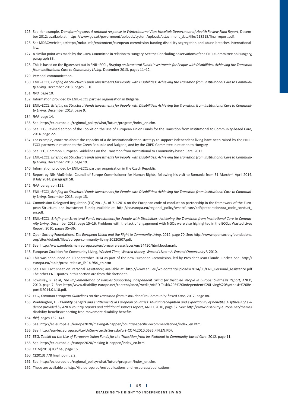- 125. See, for example, Transforming care: A national response to Winterbourne View Hospital: Department of Health Review Final Report, December 2012; available at: https://www.gov.uk/government/uploads/system/uploads/attachment\_data/file/213215/final-report.pdf.
- 126. See MDAC website, at: http://mdac.info/en/content/european-commission-funding-disability-segregation-and-abuse-breaches-internationallaw.
- 127. A similar point was made by the CRPD Committee in relation to Hungary. See the Concluding observations of the CRPD Committee on Hungary, paragraph 33.
- 128. This is based on the figures set out in ENIL-ECCL, Briefing on Structural Funds Investments for People with Disabilities: Achieving the Transition from Institutional Care to Community Living, December 2013, pages 11–12.
- 129. Personal communication.
- 130. ENIL-ECCL, Briefing on Structural Funds Investments for People with Disabilities: Achieving the Transition from Institutional Care to Communi*ty Living,* December 2013, pages 9–10.
- 131. *Ibid*, page 10.
- 132. Information provided by ENIL-ECCL partner organisation in Bulgaria.
- 133. ENIL-ECCL, Briefing on Structural Funds Investments for People with Disabilities: Achieving the Transition from Institutional Care to Communi*ty Living,* December 2013, page 9.
- 134. *Ibid,* page 14.
- 135. See: http://ec.europa.eu/regional\_policy/what/future/program/index\_en.cfm.
- 136. See EEG, Revised edition of the Toolkit on the Use of European Union Funds for the Transition from Institutional to Community-based Care, 2014, page 22.
- 137. For example, concerns about the capacity of a de-institutionalisation strategy to support independent living have been raised by the ENIL-ECCL partners in relation to the Czech Republic and Bulgaria, and by the CRPD Committee in relation to Hungary.
- 138. See EEG, Common European Guidelines on the Transition from Institutional to Community-based Care, 2012.
- 139. ENIL-ECCL, Briefing on Structural Funds Investments for People with Disabilities: Achieving the Transition from Institutional Care to Communi*ty Living,* December 2013, page 19.
- 140. Information provided by ENIL-ECCL partner organisation in the Czech Republic.
- 141. Report by Nils Muižnieks, Council of Europe Commissioner for Human Rights, following his visit to Romania from 31 March–4 April 2014, 8 July 2014, paragraph 58.
- 142. *Ibid,* paragraph 121.
- 143. ENIL-ECCL, Briefing on Structural Funds Investments for People with Disabilities: Achieving the Transition from Institutional Care to Communi*ty Living,* December 2013, page 13.
- 144. Commission Delegated Regulation (EU) No .../.. of 7.1.2014 on the European code of conduct on partnership in the framework of the European Structural and Investment Funds; available at: http://ec.europa.eu/regional\_policy/what/future/pdf/preparation/da\_code\_conduct\_ en.pdf.
- 145. ENIL-ECCL, Briefing on Structural Funds Investments for People with Disabilities: Achieving the Transition from Institutional Care to Commu*nity Living,* December 2013, page 15–16. Problems with the lack of engagement with NGOs were also highlighted in the ECCL's Wasted Lives Report, 2010, pages 35–36.
- 146. Open Society Foundations, The European Union and the Right to Community living, 2012, page 70. See: http://www.opensocietyfoundations. org/sites/default/files/europe-community-living-20120507.pdf.
- 147. See: http://www.ombudsman.europa.eu/en/press/release.faces/en/54420/html.bookmark.
- 148. European Coalition for Community Living, Wasted Time, Wasted Money, Wasted Lives A Wasted Opportunity?, 2010.
- 149. This was announced on 10 September 2014 as part of the new European Commission, led by President Jean-Claude Juncker. See: http:// europa.eu/rapid/press-release\_IP-14-984\_en.htm
- 150. See ENIL Fact sheet on Personal Assistance; available at: http://www.enil.eu/wp-content/uploads/2014/05/FAQ\_Personal\_Assistance.pdf The other ENIL quotes in this section are from this factsheet.
- 151. Townsley, R. et al, The Implementation of Policies Supporting Independent Living for Disabled People in Europe: Synthesis Report, ANED, 2010, page 7. See: http://www.disability-europe.net/content/aned/media/ANED-Task%205%20Independent%20Living%20Synthesis%20Report%2014.01.10.pdf.
- 152. EEG, Common European Guidelines on the Transition from Institutional to Community-based Care, 2012, page 88.
- 153. Waddington, L., Disability benefits and entitlements in European countries: Mutual recognition and exportability of benefits, A sythesis of evidence provided by ANED country reports and additional sources report, ANED, 2010, page 37. See: http://www.disability-europe.net/theme/ disability-benefits/reporting-free-movement-disability-benefits.
- 154. *Ibid,* pages 132–143.
- 155. See: http://ec.europa.eu/europe2020/making-it-happen/country-specific-recommendations/index\_en.htm.
- 156. See: http://eur-lex.europa.eu/LexUriServ/LexUriServ.do?uri=COM:2010:0636:FIN:EN:PDF.
- 157. EEG, Toolkit on the Use of European Union Funds for the Transition from Institutional to Community-based Care, 2012, page 11.
- 158. See: http://ec.europa.eu/europe2020/making-it-happen/index\_en.htm.
- 159. COM(2013) 83 final, page 16.
- 160. C(2013) 778 final, point 2.2.
- 161. See: http://ec.europa.eu/regional\_policy/what/future/program/index\_en.cfm.
- 162. These are available at http://fra.europa.eu/en/publications-and-resources/publications.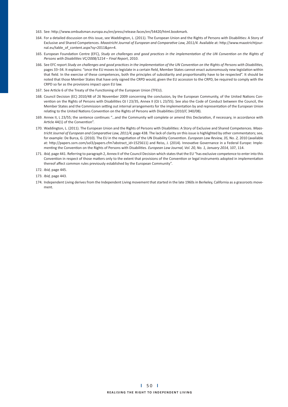- 163. See: http://www.ombudsman.europa.eu/en/press/release.faces/en/54420/html.bookmark.
- 164. For a detailed discussion on this issue, see Waddington, L. (2011). The European Union and the Rights of Persons with Disabilities: A Story of Exclusive and Shared Competences. Maastricht Journal of European and Comparative Law, 2011/4. Available at: http://www.maastrichtjournal.eu/table\_of\_content.aspx?sy=2011&pn=4.
- 165. European Foundation Centre (EFC), Study on challenges and good practices in the implementation of the UN Convention on the Rights of Persons with Disabilities VC/2008/1214 - Final Report, 2010.
- 166. See EFC report Study on challenges and good practices in the implementation of the UN Convention on the Rights of Persons with Disabilities, pages 33–34. It explains: "once the EU moves to legislate in a certain field, Member States cannot enact autonomously new legislation within that field. In the exercise of these competences, both the principles of subsidiarity and proportionality have to be respected". It should be noted that those Member States that have only signed the CRPD would, given the EU accession to the CRPD, be required to comply with the CRPD so far as the provisions impact upon EU law.
- 167. See Article 6 of the Treaty of the Functioning of the European Union (TFEU).
- 168. Council Decision (EC) 2010/48 of 26 November 2009 concerning the conclusion, by the European Community, of the United Nations Convention on the Rights of Persons with Disabilities OJ | 23/35, Annex II (OJ L 23/55). See also the Code of Conduct between the Council, the Member States and the Commission setting out internal arrangements for the implementation by and representation of the European Union relating to the United Nations Convention on the Rights of Persons with Disabilities (2010/C 340/08).
- 169. Annex II, L 23/55; the sentence continues "...and the Community will complete or amend this Declaration, if necessary, in accordance with Article 44(1) of the Convention".
- 170. Waddington, L. (2011). The European Union and the Rights of Persons with Disabilities: A Story of Exclusive and Shared Competences. Maastricht Journal of European and Comparative Law, 2011/4, page 438. The lack of clarity on this issue is highlighted by other commentators; see, for example: De Burca, G. (2010). The EU in the negotiation of the UN Disability Convention. *European Law Review, 35, No. 2, 2010* (available at: http://papers.ssrn.com/sol3/papers.cfm?abstract\_id=1525611) and Reiss, J. (2014). Innovative Governance in a Federal Europe: Implementing the Convention on the Rights of Persons with Disabilities. European Law Journal, Vol. 20, No. 1, January 2014, 107, 114.
- 171. *Ibid,* page 441. Referring to paragraph 2, Annex II of the Council Decision which states that the EU "has exclusive competence to enter into this Convention in respect of those matters only to the extent that provisions of the Convention or legal instruments adopted in implementation thereof affect common rules previously established by the European Community".
- 172. *Ibid,* page 445.
- 173. *Ibid,* page 443*.*
- 174. Independent Living derives from the Independent Living movement that started in the late 1960s in Berkeley, California as a grassroots movement.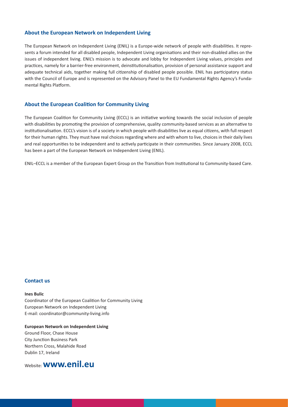### **About the European Network on Independent Living**

The European Network on Independent Living (ENIL) is a Europe-wide network of people with disabilities. It represents a forum intended for all disabled people, Independent Living organisations and their non-disabled allies on the issues of independent living. ENIL's mission is to advocate and lobby for Independent Living values, principles and practices, namely for a barrier-free environment, deinstitutionalisation, provision of personal assistance support and adequate technical aids, together making full citizenship of disabled people possible. ENIL has participatory status with the Council of Europe and is represented on the Advisory Panel to the EU Fundamental Rights Agency's Fundamental Rights Platform.

### **About the European Coalition for Community Living**

The European Coalition for Community Living (ECCL) is an initiative working towards the social inclusion of people with disabilities by promoting the provision of comprehensive, quality community-based services as an alternative to institutionalisation. ECCL's vision is of a society in which people with disabilities live as equal citizens, with full respect for their human rights. They must have real choices regarding where and with whom to live, choices in their daily lives and real opportunities to be independent and to actively participate in their communities. Since January 2008, ECCL has been a part of the European Network on Independent Living (ENIL).

ENIL-ECCL is a member of the European Expert Group on the Transition from Institutional to Community-based Care.

#### **Contact us**

#### **Ines Bulic**

Coordinator of the European Coalition for Community Living European Network on Independent Living E-mail: coordinator@community-living.info

## **European Network on Independent Living** Ground Floor, Chase House City Junction Business Park Northern Cross, Malahide Road Dublin 17, Ireland

Website: **www.enil.eu**